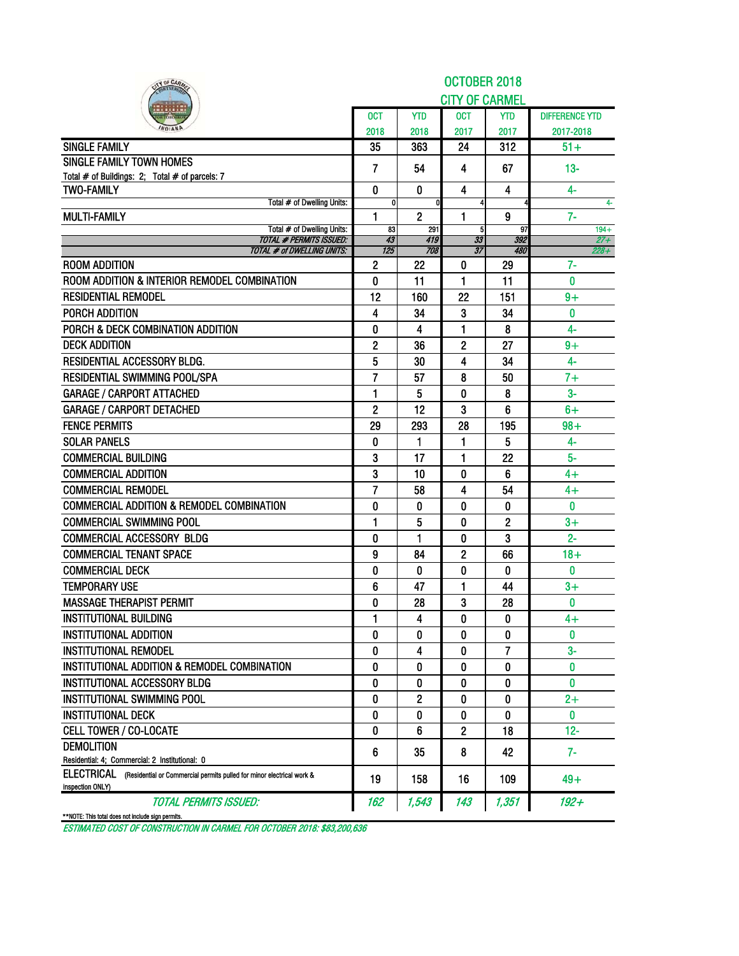| IY OF CARA                                                                                              |                     |                | OCTOBER 2018          |            |                       |
|---------------------------------------------------------------------------------------------------------|---------------------|----------------|-----------------------|------------|-----------------------|
|                                                                                                         |                     |                | <b>CITY OF CARMEL</b> |            |                       |
|                                                                                                         | <b>OCT</b>          | <b>YTD</b>     | <b>OCT</b>            | <b>YTD</b> | <b>DIFFERENCE YTD</b> |
|                                                                                                         | 2018                | 2018           | 2017                  | 2017       | 2017-2018             |
| <b>SINGLE FAMILY</b>                                                                                    | 35                  | 363            | 24                    | 312        | $51+$                 |
| <b>SINGLE FAMILY TOWN HOMES</b>                                                                         | $\overline{7}$      | 54             | 4                     | 67         | $13 -$                |
| Total # of Buildings: 2; Total # of parcels: 7                                                          |                     |                |                       |            |                       |
| <b>TWO-FAMILY</b>                                                                                       | 0                   | $\mathbf{0}$   | 4                     | 4          | $4-$                  |
| Total # of Dwelling Units:<br><b>MULTI-FAMILY</b>                                                       | 0<br>$\mathbf{1}$   | $\overline{2}$ | 1                     | 9          | 4-<br>$7-$            |
| Total # of Dwelling Units:                                                                              | 83                  | 291            | 5                     | 97         | $194 +$               |
| <b>TOTAL # PERMITS ISSUED:</b>                                                                          | 43                  | 419<br>708     | 33                    | 392        | $27 +$                |
| <b>TOTAL # of DWELLING UNITS:</b><br><b>ROOM ADDITION</b>                                               | 125<br>$\mathbf{2}$ | 22             | 37<br>0               | 480<br>29  | $228 +$<br>7-         |
| ROOM ADDITION & INTERIOR REMODEL COMBINATION                                                            | 0                   | 11             | 1                     | 11         | 0                     |
| <b>RESIDENTIAL REMODEL</b>                                                                              |                     |                |                       |            |                       |
|                                                                                                         | 12<br>4             | 160            | 22                    | 151        | $9+$<br>$\bf{0}$      |
| PORCH ADDITION                                                                                          |                     | 34             | 3                     | 34         |                       |
| PORCH & DECK COMBINATION ADDITION                                                                       | 0                   | 4              | 1                     | 8          | 4-                    |
| <b>DECK ADDITION</b>                                                                                    | $\mathbf{2}$        | 36             | 2                     | 27         | $9+$                  |
| <b>RESIDENTIAL ACCESSORY BLDG.</b>                                                                      | 5                   | 30             | 4                     | 34         | 4-                    |
| <b>RESIDENTIAL SWIMMING POOL/SPA</b>                                                                    | $\overline{7}$      | 57             | 8                     | 50         | $7+$                  |
| <b>GARAGE / CARPORT ATTACHED</b>                                                                        | $\mathbf{1}$        | 5              | 0                     | 8          | $3-$                  |
| <b>GARAGE / CARPORT DETACHED</b>                                                                        | $\mathbf{2}$        | 12             | 3                     | 6          | $6+$                  |
| <b>FENCE PERMITS</b>                                                                                    | 29                  | 293            | 28                    | 195        | $98 +$                |
| <b>SOLAR PANELS</b>                                                                                     | 0                   | 1              | 1                     | 5          | 4-                    |
| <b>COMMERCIAL BUILDING</b>                                                                              | 3                   | 17             | 1                     | 22         | $5-$                  |
| <b>COMMERCIAL ADDITION</b>                                                                              | 3                   | 10             | 0                     | 6          | 4+                    |
| <b>COMMERCIAL REMODEL</b>                                                                               | $\overline{7}$      | 58             | 4                     | 54         | 4+                    |
| <b>COMMERCIAL ADDITION &amp; REMODEL COMBINATION</b>                                                    | 0                   | 0              | 0                     | 0          | 0                     |
| <b>COMMERCIAL SWIMMING POOL</b>                                                                         | 1                   | 5              | 0                     | 2          | $3+$                  |
| <b>COMMERCIAL ACCESSORY BLDG</b>                                                                        | 0                   | 1              | 0                     | 3          | $2 -$                 |
| <b>COMMERCIAL TENANT SPACE</b>                                                                          | 9                   | 84             | 2                     | 66         | $18 +$                |
| <b>COMMERCIAL DECK</b>                                                                                  | 0                   | $\mathbf{0}$   | 0                     | 0          | $\bf{0}$              |
| <b>TEMPORARY USE</b>                                                                                    | 6                   | 47             | 1                     | 44         | $3+$                  |
| <b>MASSAGE THERAPIST PERMIT</b>                                                                         | 0                   | 28             | 3                     | 28         | 0                     |
| <b>INSTITUTIONAL BUILDING</b>                                                                           | 1                   | 4              | O                     | 0          | 4+                    |
| <b>INSTITUTIONAL ADDITION</b>                                                                           | 0                   | 0              | 0                     | 0          | 0                     |
| <b>INSTITUTIONAL REMODEL</b>                                                                            | 0                   | 4              | 0                     | 7          | $3-$                  |
| INSTITUTIONAL ADDITION & REMODEL COMBINATION                                                            | 0                   | 0              | 0                     | 0          | 0                     |
| <b>INSTITUTIONAL ACCESSORY BLDG</b>                                                                     | 0                   | 0              | 0                     | 0          | 0                     |
| INSTITUTIONAL SWIMMING POOL                                                                             | 0                   | 2              | 0                     | 0          | $2+$                  |
| <b>INSTITUTIONAL DECK</b>                                                                               | 0                   | 0              | 0                     | 0          | $\mathbf{0}$          |
| <b>CELL TOWER / CO-LOCATE</b>                                                                           | 0                   | 6              | 2                     | 18         | $12 -$                |
| <b>DEMOLITION</b>                                                                                       | 6                   | 35             | 8                     | 42         | $7-$                  |
| Residential: 4; Commercial: 2 Institutional: 0                                                          |                     |                |                       |            |                       |
| ELECTRICAL<br>(Residential or Commercial permits pulled for minor electrical work &<br>inspection ONLY) | 19                  | 158            | 16                    | 109        | $49+$                 |
| <b>TOTAL PERMITS ISSUED:</b><br>**NOTE: This total does not include sign permits.                       | 162                 | 1,543          | 143                   | 1,351      | 192+                  |
|                                                                                                         |                     |                |                       |            |                       |

ESTIMATED COST OF CONSTRUCTION IN CARMEL FOR OCTOBER 2018: \$83,200,636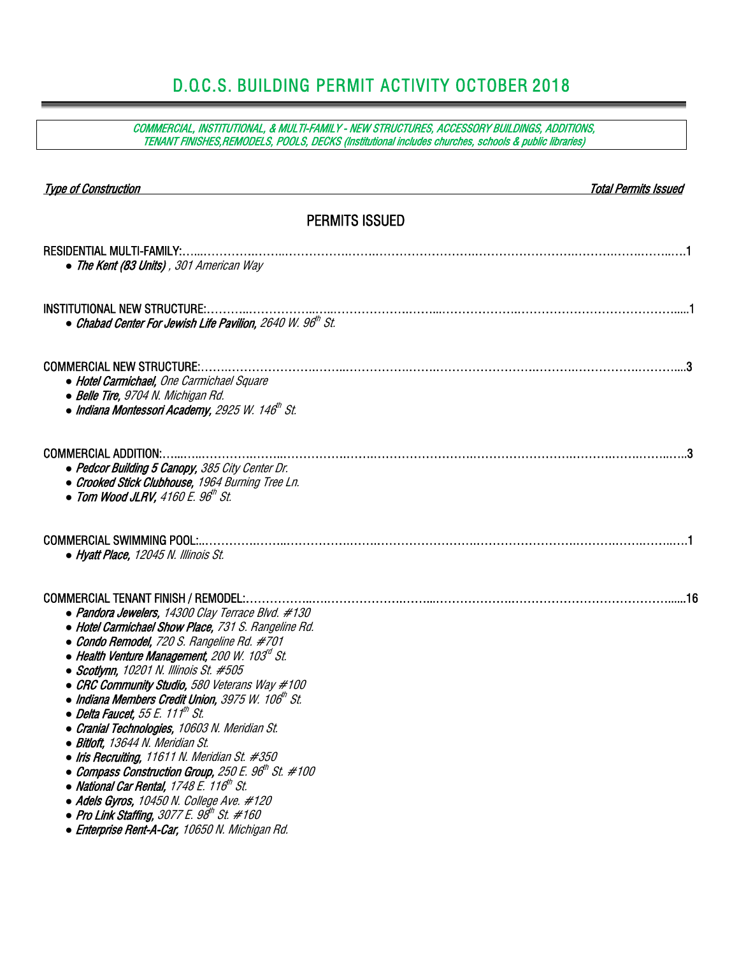# D.O.C.S. BUILDING PERMIT ACTIVITY OCTOBER 2018

COMMERCIAL, INSTITUTIONAL, & MULTI-FAMILY - NEW STRUCTURES, ACCESSORY BUILDINGS, ADDITIONS, TENANT FINISHES,REMODELS, POOLS, DECKS (Institutional includes churches, schools & public libraries)

| <b>Type of Construction</b><br>Total Permits Issued                                                                                                                                                                                                                                                                                                                                                                                                                                                                                                                                                                                                                                                                                                                                                                                                                                           |  |
|-----------------------------------------------------------------------------------------------------------------------------------------------------------------------------------------------------------------------------------------------------------------------------------------------------------------------------------------------------------------------------------------------------------------------------------------------------------------------------------------------------------------------------------------------------------------------------------------------------------------------------------------------------------------------------------------------------------------------------------------------------------------------------------------------------------------------------------------------------------------------------------------------|--|
| <b>PERMITS ISSUED</b>                                                                                                                                                                                                                                                                                                                                                                                                                                                                                                                                                                                                                                                                                                                                                                                                                                                                         |  |
| <b>RESIDENTIAL MULTI-FAMILY:.</b><br>• The Kent (83 Units), 301 American Way                                                                                                                                                                                                                                                                                                                                                                                                                                                                                                                                                                                                                                                                                                                                                                                                                  |  |
| <b>INSTITUTIONAL NEW STRUCTURE:</b><br>• Chabad Center For Jewish Life Pavilion, 2640 W. 96 <sup>th</sup> St.                                                                                                                                                                                                                                                                                                                                                                                                                                                                                                                                                                                                                                                                                                                                                                                 |  |
| <b>COMMERCIAL NEW STRUCTURE:.</b><br>• Hotel Carmichael, One Carmichael Square<br>• Belle Tire, 9704 N. Michigan Rd.<br>• Indiana Montessori Academy, 2925 W. 146 <sup>th</sup> St.                                                                                                                                                                                                                                                                                                                                                                                                                                                                                                                                                                                                                                                                                                           |  |
| COMMERCIAL ADDITION:<br>• Pedcor Building 5 Canopy, 385 City Center Dr.<br>• Crooked Stick Clubhouse, 1964 Burning Tree Ln.<br>• Tom Wood JLRV, $4160E$ . $96^{\text{th}}$ St.                                                                                                                                                                                                                                                                                                                                                                                                                                                                                                                                                                                                                                                                                                                |  |
| <b>COMMERCIAL SWIMMING POOL:.</b><br>• Hyatt Place, 12045 N. Illinois St.                                                                                                                                                                                                                                                                                                                                                                                                                                                                                                                                                                                                                                                                                                                                                                                                                     |  |
| <b>COMMERCIAL TENANT FINISH / REMODEL:.</b><br>• Pandora Jewelers, 14300 Clay Terrace Blvd. #130<br>• Hotel Carmichael Show Place, 731 S. Rangeline Rd.<br>• Condo Remodel, 720 S. Rangeline Rd. #701<br>• Health Venture Management, 200 W. 103 $d$ St.<br>• Scotlynn, 10201 N. Illinois St. #505<br>• CRC Community Studio, 580 Veterans Way #100<br>$\bullet$ Indiana Members Credit Union, 3975 W. 106 $^{\prime\prime\prime}$ St.<br>$\bullet$ Delta Faucet, 55 E. 111th St.<br>• Cranial Technologies, 10603 N. Meridian St.<br>• Bitloft, 13644 N. Meridian St.<br>• Iris Recruiting, 11611 N. Meridian St. $#350$<br>$\bullet$ Compass Construction Group, 250 E. 96" St. #100<br>• National Car Rental, 1748 E. 116 <sup>th</sup> St.<br>· Adels Gyros, 10450 N. College Ave. #120<br>• Pro Link Staffing, $3077 E. 98th St. #160$<br>• Enterprise Rent-A-Car, 10650 N. Michigan Rd. |  |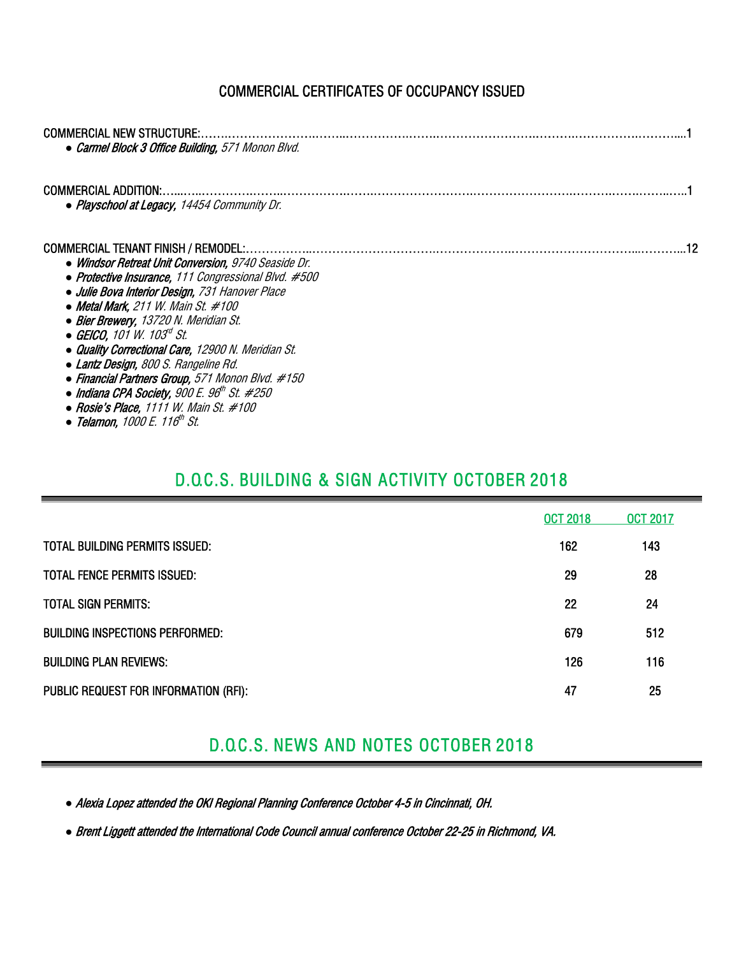### COMMERCIAL CERTIFICATES OF OCCUPANCY ISSUED

| <b>COMMERCIAL NEW STRUCTURE:.</b><br>• Carmel Block 3 Office Building, 571 Monon Blvd. |  |
|----------------------------------------------------------------------------------------|--|
|                                                                                        |  |
| <b>COMMERCIAL ADDITION:</b>                                                            |  |
| • Playschool at Legacy, 14454 Community Dr.                                            |  |
| COMMERCIAL TENANT FINISH / REMODEL:.                                                   |  |
| • Windsor Retreat Unit Conversion, 9740 Seaside Dr.                                    |  |
| • Protective Insurance, 111 Congressional Blvd. #500                                   |  |
| · Julie Bova Interior Design, 731 Hanover Place                                        |  |
| • Metal Mark, 211 W. Main St. $#100$                                                   |  |
| • Bier Brewery, 13720 N. Meridian St.                                                  |  |
| • GEICO. 101 W. 103 <sup>rd</sup> St.                                                  |  |
| • Quality Correctional Care, 12900 N. Meridian St.                                     |  |
| • Lantz Design, 800 S. Rangeline Rd.                                                   |  |
| • Financial Partners Group, 571 Monon Blvd. #150                                       |  |
| • Indiana CPA Society, 900 E. $96^{\text{th}}$ St. #250                                |  |
| • Rosie's Place, 1111 W. Main St. $#100$                                               |  |

*●* Telamon, 1000 E. 116th St.

### D.O.C.S. BUILDING & SIGN ACTIVITY OCTOBER 2018

|                                        | <b>OCT 2018</b> | <b>OCT 2017</b> |
|----------------------------------------|-----------------|-----------------|
| <b>TOTAL BUILDING PERMITS ISSUED:</b>  | 162             | 143             |
| <b>TOTAL FENCE PERMITS ISSUED:</b>     | 29              | 28              |
| <b>TOTAL SIGN PERMITS:</b>             | 22              | 24              |
| <b>BUILDING INSPECTIONS PERFORMED:</b> | 679             | 512             |
| <b>BUILDING PLAN REVIEWS:</b>          | 126             | 116             |
| PUBLIC REQUEST FOR INFORMATION (RFI):  | 47              | 25              |

### D.O.C.S. NEWS AND NOTES OCTOBER 2018

*●* Alexia Lopez attended the OKI Regional Planning Conference October 4-5 in Cincinnati, OH.

*●* Brent Liggett attended the International Code Council annual conference October 22-25 in Richmond, VA.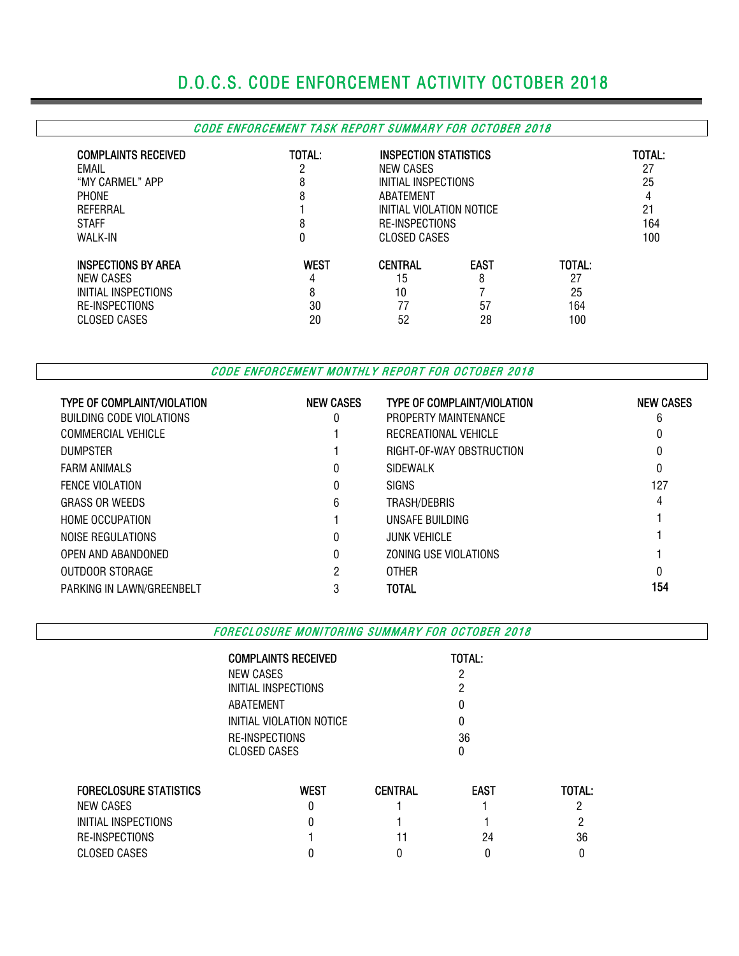## D.O.C.S. CODE ENFORCEMENT ACTIVITY OCTOBER 2018

### CODE ENFORCEMENT TASK REPORT SUMMARY FOR OCTOBER 2018

| <b>COMPLAINTS RECEIVED</b><br>EMAIL<br>"MY CARMEL" APP<br><b>PHONE</b><br>REFERRAL<br><b>STAFF</b><br><b>WALK-IN</b> | TOTAL:<br>ŋ<br>8<br>8<br>8<br>0   | NEW CASES<br>ABATEMENT                 | INSPECTION STATISTICS<br>INITIAL INSPECTIONS<br>INITIAL VIOLATION NOTICE<br><b>RE-INSPECTIONS</b><br><b>CLOSED CASES</b> |                                  |  |  |  |  |
|----------------------------------------------------------------------------------------------------------------------|-----------------------------------|----------------------------------------|--------------------------------------------------------------------------------------------------------------------------|----------------------------------|--|--|--|--|
| <b>INSPECTIONS BY AREA</b><br>NEW CASES<br>INITIAL INSPECTIONS<br><b>RE-INSPECTIONS</b><br>CLOSED CASES              | <b>WEST</b><br>4<br>8<br>30<br>20 | <b>CENTRAL</b><br>15<br>10<br>77<br>52 | <b>EAST</b><br>8<br>57<br>28                                                                                             | TOTAL:<br>27<br>25<br>164<br>100 |  |  |  |  |

CODE ENFORCEMENT MONTHLY REPORT FOR OCTOBER 2018

| <b>TYPE OF COMPLAINT/VIOLATION</b> | <b>NEW CASES</b> | <b>TYPE OF COMPLAINT/VIOLATION</b> | <b>NEW CASES</b> |
|------------------------------------|------------------|------------------------------------|------------------|
| BUILDING CODE VIOLATIONS           |                  | PROPERTY MAINTENANCE               | 6                |
| COMMERCIAL VEHICLE                 |                  | RECREATIONAL VEHICLE               | 0                |
| <b>DUMPSTER</b>                    |                  | RIGHT-OF-WAY OBSTRUCTION           | 0                |
| <b>FARM ANIMALS</b>                |                  | SIDEWALK                           | 0                |
| <b>FENCE VIOLATION</b>             |                  | <b>SIGNS</b>                       | 127              |
| <b>GRASS OR WEEDS</b>              | 6                | TRASH/DEBRIS                       | 4                |
| <b>HOME OCCUPATION</b>             |                  | UNSAFE BUILDING                    |                  |
| NOISE REGULATIONS                  | 0                | <b>JUNK VEHICLE</b>                |                  |
| OPEN AND ABANDONED                 |                  | ZONING USE VIOLATIONS              |                  |
| OUTDOOR STORAGE                    | 2                | <b>OTHER</b>                       | 0                |
| PARKING IN LAWN/GREENBELT          | 3                | TOTAL                              | 154              |

FORECLOSURE MONITORING SUMMARY FOR OCTOBER 2018

|                               | <b>COMPLAINTS RECEIVED</b><br>NEW CASES<br>INITIAL INSPECTIONS<br>ABATEMENT<br>INITIAL VIOLATION NOTICE<br>RE-INSPECTIONS<br>CLOSED CASES |                | TOTAL:<br>ŋ<br>0<br>0<br>36<br>0 |        |  |
|-------------------------------|-------------------------------------------------------------------------------------------------------------------------------------------|----------------|----------------------------------|--------|--|
| <b>FORECLOSURE STATISTICS</b> | <b>WEST</b>                                                                                                                               | <b>CENTRAL</b> | <b>EAST</b>                      | TOTAL: |  |
| <b>NEW CASES</b>              | ŋ                                                                                                                                         |                |                                  |        |  |
| INITIAL INSPECTIONS           |                                                                                                                                           |                |                                  | റ      |  |
| RE-INSPECTIONS                |                                                                                                                                           |                | 24                               | 36     |  |
| <b>CLOSED CASES</b>           |                                                                                                                                           |                |                                  |        |  |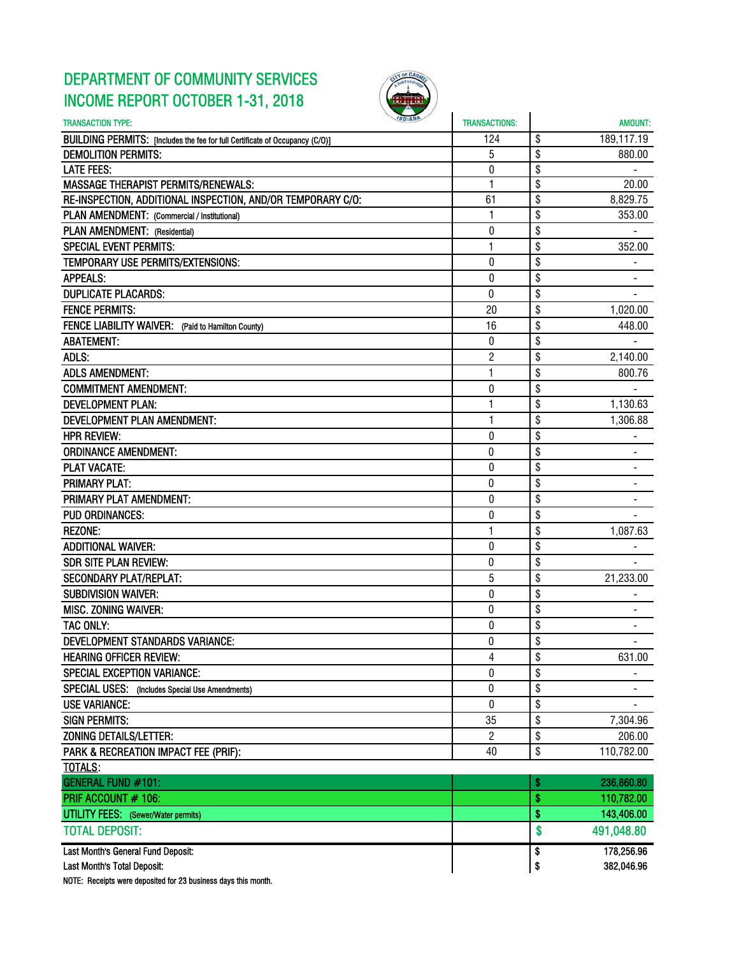### DEPARTMENT OF COMMUNITY SERVICES INCOME REPORT OCTOBER 1-31, 2018



| <b>INDIANA</b><br><b>TRANSACTION TYPE:</b>                                   | <b>TRANSACTIONS:</b> | <b>AMOUNT:</b>   |
|------------------------------------------------------------------------------|----------------------|------------------|
| BUILDING PERMITS: [Includes the fee for full Certificate of Occupancy (C/O)] | 124                  | \$<br>189,117.19 |
| <b>DEMOLITION PERMITS:</b>                                                   | 5                    | \$<br>880.00     |
| <b>LATE FEES:</b>                                                            | 0                    | \$               |
| <b>MASSAGE THERAPIST PERMITS/RENEWALS:</b>                                   | 1                    | \$<br>20.00      |
| RE-INSPECTION, ADDITIONAL INSPECTION, AND/OR TEMPORARY C/O:                  | 61                   | \$<br>8,829.75   |
| PLAN AMENDMENT: (Commercial / Institutional)                                 | 1                    | \$<br>353.00     |
| PLAN AMENDMENT: (Residential)                                                | 0                    | \$               |
| <b>SPECIAL EVENT PERMITS:</b>                                                | 1                    | \$<br>352.00     |
| TEMPORARY USE PERMITS/EXTENSIONS:                                            | $\mathbf{0}$         | \$               |
| <b>APPEALS:</b>                                                              | 0                    | \$               |
| <b>DUPLICATE PLACARDS:</b>                                                   | 0                    | \$               |
| <b>FENCE PERMITS:</b>                                                        | 20                   | \$<br>1,020.00   |
| FENCE LIABILITY WAIVER: (Paid to Hamilton County)                            | 16                   | \$<br>448.00     |
| <b>ABATEMENT:</b>                                                            | 0                    | \$               |
| ADLS:                                                                        | 2                    | \$<br>2,140.00   |
| <b>ADLS AMENDMENT:</b>                                                       | $\mathbf{1}$         | \$<br>800.76     |
| <b>COMMITMENT AMENDMENT:</b>                                                 | $\pmb{0}$            | \$               |
| <b>DEVELOPMENT PLAN:</b>                                                     | 1                    | \$<br>1,130.63   |
| <b>DEVELOPMENT PLAN AMENDMENT:</b>                                           | 1                    | \$<br>1,306.88   |
| <b>HPR REVIEW:</b>                                                           | $\mathbf{0}$         | \$               |
| <b>ORDINANCE AMENDMENT:</b>                                                  | $\bf{0}$             | \$               |
| <b>PLAT VACATE:</b>                                                          | 0                    | \$               |
| <b>PRIMARY PLAT:</b>                                                         | 0                    | \$               |
| PRIMARY PLAT AMENDMENT:                                                      | 0                    | \$               |
| <b>PUD ORDINANCES:</b>                                                       | 0                    | \$               |
| <b>REZONE:</b>                                                               | 1                    | \$<br>1,087.63   |
| <b>ADDITIONAL WAIVER:</b>                                                    | $\mathbf 0$          | \$               |
| <b>SDR SITE PLAN REVIEW:</b>                                                 | $\pmb{0}$            | \$               |
| <b>SECONDARY PLAT/REPLAT:</b>                                                | 5                    | \$<br>21,233.00  |
| <b>SUBDIVISION WAIVER:</b>                                                   | 0                    | \$               |
| <b>MISC. ZONING WAIVER:</b>                                                  | 0                    | \$               |
| TAC ONLY:                                                                    | $\bf{0}$             | \$               |
| <b>DEVELOPMENT STANDARDS VARIANCE:</b>                                       | 0                    | \$               |
| <b>HEARING OFFICER REVIEW:</b>                                               | 4                    | \$<br>631.00     |
| <b>SPECIAL EXCEPTION VARIANCE:</b>                                           | 0                    | \$               |
| SPECIAL USES: (Includes Special Use Amendments)                              | 0                    | \$               |
| <b>USE VARIANCE:</b>                                                         | 0                    | \$               |
| <b>SIGN PERMITS:</b>                                                         | 35                   | \$<br>7,304.96   |
| ZONING DETAILS/LETTER:                                                       | $\mathbf{2}$         | \$<br>206.00     |
| PARK & RECREATION IMPACT FEE (PRIF):                                         | 40                   | \$<br>110,782.00 |
| TOTALS:                                                                      |                      |                  |
| <b>GENERAL FUND #101:</b>                                                    |                      | \$<br>236,860.80 |
| PRIF ACCOUNT # 106:                                                          |                      | \$<br>110,782.00 |
| <b>UTILITY FEES:</b> (Sewer/Water permits)                                   |                      | \$<br>143,406.00 |
| <b>TOTAL DEPOSIT:</b>                                                        |                      | \$<br>491,048.80 |
|                                                                              |                      |                  |
| Last Month's General Fund Deposit:                                           |                      | \$<br>178,256.96 |
| Last Month's Total Deposit:                                                  |                      | \$<br>382,046.96 |

NOTE: Receipts were deposited for 23 business days this month.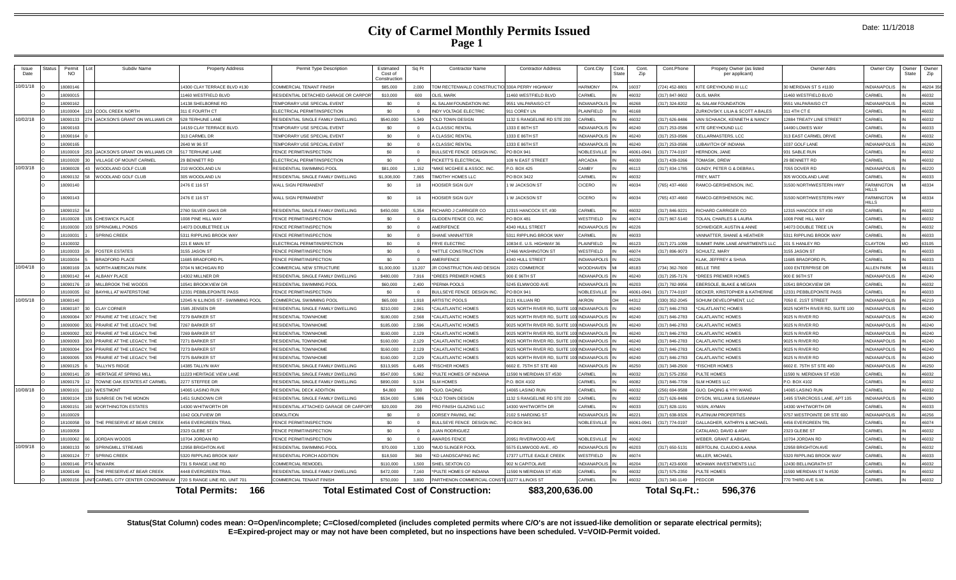|  | Date: 11/1/2018 |
|--|-----------------|
|--|-----------------|

| Issue<br>Date | Status | Permit<br><b>NO</b>  | Subdiv Name                                  | <b>Property Address</b>                    | Permit Type Description                                                  | Estimated<br>Cost of<br>Constructic | Sq Ft          | Contractor Name                               | <b>Contractor Address</b>                         | Cont.City             | Cont<br>Cont.<br>State<br>Zip | Cont.Phone                     | Propety Owner (as listed<br>per applicant  | Owner Adrs                                           | Owner City                        | Owner<br>State | Owne<br>Zip    |
|---------------|--------|----------------------|----------------------------------------------|--------------------------------------------|--------------------------------------------------------------------------|-------------------------------------|----------------|-----------------------------------------------|---------------------------------------------------|-----------------------|-------------------------------|--------------------------------|--------------------------------------------|------------------------------------------------------|-----------------------------------|----------------|----------------|
| 10/01/18      |        | 18080146             |                                              | 4300 CLAY TERRACE BLVD #130                | COMMERCIAL TENANT FINISH                                                 | \$85,000                            | 2.000          | TOM RECTENWALD CONSTRUCTIO                    | 330A PERRY HIGHWAY                                | <b>HARMONY</b>        | 16037                         | 724) 452-8801                  | KITE GREYHOUND III LLC                     | 30 MERIDIAN ST S #1100                               | <b>NDIANAPOLIS</b>                |                | 46204 35       |
|               |        | 18090015             |                                              | 1460 WESTFIELD BLVD                        | RESIDENTIAL DETACHED GARAGE OR CARPORT                                   | \$10,000                            | 600            | OLIS, MARK                                    | 1460 WESTFIELD BLVD                               | CARMEL                | 46032                         | 17) 847-9602                   | <b>JUS MARK</b>                            | 11460 WESTFIELD BLVD                                 | <b>ARMEL</b>                      |                | 46032          |
|               |        | 18090162             |                                              | 4138 SHELBORNE RD                          | TEMPORARY USE SPECIAL EVENT                                              | \$0                                 | $\Omega$       | AL SALAM FOUNDATION INC                       | 9551 VALPARAISO CT                                | <b>NDIANAPOLIS</b>    | 46268                         | 317) 324-8202                  | AL SALAM FOUNDATION                        | 9551 VALPARAISO CT                                   | <b>NDIANAPOLIS</b>                |                | 46268          |
|               |        | 18100004             | <b>COOL CREEK NORTH</b>                      | <b>811 E FOURTH CT</b>                     | ELECTRICAL PERMIT/INSPECTION                                             | \$0                                 | $\Omega$       | <b>INDY VOLTAGE ELECTRIC</b>                  | 11 COREY LN                                       | PLAINFIELD            | 46168                         |                                | <b>URKOVSKY, LILIA &amp; SCOTT A BALES</b> | 311 4TH CT                                           | CARMEL                            |                | 46032          |
| 10/02/18      |        | 18090133             | JACKSON'S GRANT ON WILLIAMS CR               | 528 TERHUNE LANE                           | RESIDENTIAL SINGLE FAMILY DWELLING                                       | \$540,000                           | 5.349          | *OLD TOWN DESIGN                              | 132 S RANGELINE RD STE 200                        | CARMEL                | 46032                         | 317) 626-8486                  | VAN SCHAACK, KENNETH & NANCY               | 12884 TREATY LINE STREET                             | CARMEL                            |                | 46032          |
|               |        | 18090163             |                                              | 4159 CLAY TERRACE BLVD                     | <b>FEMPORARY USE SPECIAL EVENT</b>                                       | \$0                                 | $\Omega$       | A CLASSIC RENTAL                              | 333 E 86TH ST                                     | NDIANAPOLIS           | 46240                         | 317) 253-0586                  | KITE GREYHOUND LLC                         | 14490 LOWES WAY                                      | <b>ARMEL</b>                      |                | 46033          |
|               |        | 18090164             |                                              | 13 CARMEL DE                               | TEMPORARY USE SPECIAL EVENT                                              | \$0                                 | $\Omega$       | A CLASSIC RENTAL                              | 333 E 86TH ST                                     | <b>NDIANAPOLIS</b>    | 46240                         | 317) 253-0586                  | CELLARMASTERS, LCC                         | 313 EAST CARMEL DRIVE                                | <b>ARMEL</b>                      |                | 46032          |
|               |        | 18090165             |                                              | 2640 W 96 ST                               | TEMPORARY USE SPECIAL EVENT                                              | \$0                                 |                | A CLASSIC RENTAL                              | 1333 E 86TH ST                                    | <b>NDIANAPOLIS</b>    | 46240                         | 317) 253-0586                  | <b>UBAVITCH OF INDIANA</b>                 | 1037 GOLF LANE                                       | INDIANAPOLI                       |                | 46260          |
|               |        | 18100019             | JACKSON'S GRANT ON WILLIAMS CR               | 517 TERHUNE LANE                           | FENCE PERMIT/INSPECTION                                                  | \$0                                 | $\overline{0}$ | BULLSEYE FENCE DESIGN INC.                    | PO BOX 941                                        | <b>NOBLESVILLE</b>    | 46061-0941                    | 317) 774-0197                  | HERNDON, JANE                              | 931 SABLE RUN                                        | CARMEL                            |                | 46032          |
|               |        | 18100020             | VILLAGE OF MOUNT CARMEL                      | <b>BENNETT RD</b>                          | ELECTRICAL PERMIT/INSPECTION                                             | \$0                                 | $\Omega$       | PICKETT'S ELECTRICAL                          | 09 N EAST STREET                                  | ARCADIA               | 46030                         | 17) 439-0266                   | OMASIK, DREW                               | 29 BENNETT RD                                        | CARMEL                            |                | 46032          |
| 10/03/18      |        | 18080028             | WOODLAND GOLF CLUB                           | 10 WOODLAND LN                             | RESIDENTIAL SWIMMING POOL                                                | \$81,000                            | 1.152          | *MIKE MCGHEE & ASSOC. INC.                    | .O. BOX 425                                       | <b>AMRY</b>           | 46113                         | 17) 834-1785                   | GUNDY, PETER G & DEBRAL                    | 7055 DOVER RD                                        | <b>NDIANAPOLIS</b>                |                | 46220          |
|               |        | 18090132             | VOODLAND GOLF CLUB                           | <b>805 WOODLAND LN</b>                     | RESIDENTIAL SINGLE FAMILY DWELLING                                       | \$1,008,000                         | 7.865          | <b>TIMOTHY HOMES LLC</b>                      | PO BOX 3422                                       | <b>ARMEL</b>          | 16032                         |                                | <b>REY MATT</b>                            | 305 WOODLAND LANE                                    | ARMEL                             |                | 46033          |
|               |        | 18090140             |                                              | 2476 E 116 ST                              | <b>WALL SIGN PERMANENT</b>                                               | \$0                                 | 18             | <b>HOOSIER SIGN GUY</b>                       | <b>W JACKSON ST</b>                               | CICERO                | 46034                         | 765) 437-4660                  | RAMCO-GERSHENSON, INC.                     | 31500 NORTHWESTERN HWY                               | <b>FARMINGTON</b><br><b>IILLS</b> |                | 48334          |
|               |        | 18090143             |                                              | 2476 E 116 ST                              | <b>WALL SIGN PERMANENT</b>                                               | \$0                                 | 16             | <b>HOOSIER SIGN GUY</b>                       | W JACKSON ST                                      | CICERO                | 46034                         | 765) 437-4660                  | RAMCO-GERSHENSON, INC.                     | 31500 NORTHWESTERN HWY                               | <b>FARMINGTON</b><br>HILS         |                | 48334          |
|               |        | 18090152             |                                              | 2760 SILVER OAKS DR                        | RESIDENTIAL SINGLE FAMILY DWELLING                                       | \$450,000                           | 5.354          | RICHARD J CARRIGER CO                         | 12315 HANCOCK ST. #30                             | CARMEL                | 46032                         | 317) 846-9221                  | RICHARD CARRIGER CO                        | 12315 HANCOCK ST #30                                 | CARMEL                            |                | 46032          |
|               |        | 18100028             | <b>CHESWICK PLACE</b>                        | 008 PINE HILL WAY                          | FENCE PERMIT/INSPECTION                                                  | \$0                                 | $\Omega$       | GLIDDEN FENCE CO, INC                         | PO BOX 481                                        | VESTFIELD             | 46074                         | 317) 867-5140                  | TOLAN, CHARLES & LAURA                     | 1008 PINE HILL WAY                                   | CARMEL                            |                | 46032          |
|               |        | 18100030             | SPRINGMILL PONDS                             | 4073 DOURLETREE LN                         | FENCE PERMIT/INSPECTION                                                  | \$0                                 | $\Omega$       | AMERIFENCE                                    | 340 HULL STREET                                   | NDIANAPOLIS           | 46226                         |                                | <b>SCHWEIGER, AUSTIN &amp; ANNE</b>        | 14073 DOUBLE TREE LN                                 | CARMEL                            |                | 46032          |
|               |        | 18100031             | <b>SPRING CREEK</b>                          | 5311 RIPPLING BROOK WAY                    | FENCE PERMIT/INSPECTION                                                  | \$0                                 | $\Omega$       | SHANE VANNATTER                               | 5311 RIPPLING BROOK WAY                           | CARMEL                | 46033                         |                                | ANNATTER, SHANE & HEATHER                  | 5311 RIPPLING BROOK WAY                              | CARMEL                            |                | 46033          |
|               |        | 18100032             |                                              | 221 F MAIN ST                              | ELECTRICAL PERMIT/INSPECTION                                             | \$0                                 | $\Omega$       | <b>FRYE ELECTRIC</b>                          | 10834 E. U.S. HIGHWAY 36                          | PLAINFIELD            | 46123                         | 317) 271-1099                  | SUMMIT PARK LANE APARTMENTS LLC            | 101 S HANLEY RD                                      | CLAYTON                           | MO             | 63105          |
|               |        | 18100033             | <b>FOSTER ESTATES</b>                        | 3155 JASON ST                              | FENCE PERMIT/INSPECTION                                                  | \$0                                 | $\Omega$       | *HITTLE CONSTRUCTION                          | 7466 WASHINGTON ST                                | WESTFIELD             | 46074                         | 317) 896-9073                  | <b>SCHULTZ, MARY</b>                       | 3155 JASON ST                                        | CARMEL                            |                | 46033          |
|               |        | 18100034             | <b>BRADFORD PLACE</b>                        | 1685 BRADFORD PL                           | FENCE PERMIT/INSPECTION                                                  | \$0                                 | $\overline{0}$ | AMERIFENCE                                    | 340 HULL STREET                                   | NDIANAPOLIS           | 46226                         |                                | KLAK, JEFFREY & SHIVA                      | 11685 BRADFORD PL                                    | CARMEL                            |                | 46033          |
| 10/04/18      |        | 18080169             | NORTH AMERICAN PARK                          | 704 N MICHIGAN RD                          | COMMERCIAL NEW STRUCTURE                                                 | \$1,000,000                         | 13.207         | JR CONSTRUCTION AND DESIGN                    | 22021 COMMERCE                                    | <b>NOODHAVEN</b>      | 48183                         | 34) 362-7600                   | <b>RELLE TIRE</b>                          | 1000 ENTERPRISE DR                                   | <b>ILEN PARK</b>                  |                | 48101          |
|               |        | 18090142             | <b>ALBANY PLACE</b>                          | 4302 MILLNER DR                            | RESIDENTIAL SINGLE FAMILY DWELLING                                       | \$480,000                           | 7.916          | *DREES PREMIER HOMES                          | 900 E 96TH ST                                     | NDIANAPOLIS           | 46240                         | 317) 295-7176                  | *DREES PREMIER HOMES                       | 900 E 96TH ST                                        | NDIANAPOLIS                       |                | 46240          |
|               |        | 18090176             | MILLBROOK THE WOODS                          | 0541 BROOKVIEW DF                          | RESIDENTIAL SWIMMING POO                                                 | \$60,000                            | 2,400          | *PERMA POOLS                                  | 5245 ELMWOOD AVE                                  | <b>INDIANAPOLIS</b>   | 46203                         | 317) 782-9956                  | BERSOLE, BLAKE & MEGAN                     | 10541 BROOKVIEW DR                                   | CARMEL                            |                | 46032          |
|               |        | 18100035             | <b>BAYHILL AT WATERSTONE</b>                 | 2331 PEBBLEPOINTE PASS                     | FENCE PERMIT/INSPECTION                                                  | \$0                                 | $\overline{0}$ | BULLSEYE FENCE DESIGN INC.                    | PO BOX 941                                        | NOBLESVILLE           | 46061-094                     | 317) 774-0197                  | DECKER, KRISTOPHER & KATHERINE             | 12331 PEBBLEPOINTE PASS                              | <b>CARMEL</b>                     |                | 46033          |
| 10/05/18      |        | 18080140             |                                              | 2045 N ILLINOIS ST - SWIMMING POOL         | COMMERCIAL SWIMMING POOL                                                 | \$65,000                            | 1,918          | ARTISTIC POOLS                                | 121 KILLIAN RD                                    | AKRON                 | 44312                         | 330) 352-2045                  | SOHUM DEVELOPMENT, LLC                     | 7050 E. 21ST STREET                                  | NDIANAPOLIS                       |                | 46219          |
|               |        | 18080187             | CLAY CORNER                                  | 585 JENSEN DR                              | RESIDENTIAL SINGLE FAMILY DWELLING                                       | \$210,000                           | 2961           | *CALATLANTIC HOMES                            | 025 NORTH RIVER RD. SUITE 100                     | INDIANAPOLIS          | 46240                         | 17) 846-2783                   | *CALATLANTIC HOMES                         | 9025 NORTH RIVER RD, SUITE 100                       | NDIANAPOLIS                       |                | 46240          |
|               |        | 18090084             | PRAIRIE AT THE LEGACY. THE                   | 279 BARKER ST                              | <b>RESIDENTIAL TOWNHOME</b>                                              | \$180,000                           | 2.568          | *CALATLANTIC HOMES                            | 025 NORTH RIVER RD, SUITE                         | NDIANAPOLIS           | 46240                         | 317) 846-2783                  | ALATLANTIC HOMES                           | 9025 N RIVER RD                                      | <b>VDIANAPOLIS</b>                |                | 46240          |
|               |        | 18090090             | PRAIRIE AT THE LEGACY. THE                   | 7267 BARKER ST                             | <b>RESIDENTIAL TOWNHOME</b>                                              | \$185,000                           | 2.596          | *CALATLANTIC HOMES                            | 9025 NORTH RIVER RD. SUITE 10                     | <b>INDIANAPOLIS</b>   | 46240                         | 317) 846-2783                  | CALATLANTIC HOMES                          | 9025 N RIVER RD                                      | NDIANAPOLIS                       |                | 46240          |
|               |        | 18090092             | PRAIRIE AT THE LEGACY, THE                   | 269 BARKER ST                              | <b>RESIDENTIAL TOWNHOME</b>                                              | \$160,000                           | 2.129          | *CALATLANTIC HOMES                            | 025 NORTH RIVER RD, SUITE 10                      | <b>INDIANAPOLIS</b>   | 46240                         | 17) 846-2783                   | <b>CALATLANTIC HOMES</b>                   | 9025 N RIVER RD                                      | NDIANAPOLIS                       |                | 46240          |
|               |        | 18090093             | PRAIRIE AT THE LEGACY. THE<br>303            | 7271 BARKER ST                             | RESIDENTIAL TOWNHOME                                                     | \$160,000                           | 2,129          | *CALATLANTIC HOMES                            | 025 NORTH RIVER RD, SUITE 100 INDIANAPOLIS        |                       | 46240                         | 317) 846-2783                  | CALATLANTIC HOMES                          | 9025 N RIVER RD                                      | NDIANAPOLIS                       |                | 46240          |
|               |        | 18090094             | PRAIRIE AT THE LEGACY. THE                   | 773 BARKER ST                              | RESIDENTIAI TOWNHOME                                                     | \$160,000                           | 2 1 2 9        | *CALATLANTIC HOMES                            | 025 NORTH RIVER RD. SUITE 100                     | INDIANAPOLIS          | 46240                         | 17) 846-2783                   | CALATLANTIC HOMES                          | 9025 N RIVER RD                                      | <b>NDIANAPOLIS</b>                |                | 46240          |
|               |        | 18090095<br>18090125 | PRAIRIE AT THE LEGACY. THE<br>TALLYN'S RIDGE | 275 BARKER ST                              | <b>RESIDENTIAL TOWNHOME</b>                                              | \$160,000                           | 2.129          | *CALATLANTIC HOMES                            | 025 NORTH RIVER RD, SUITE 100                     | <b>INDIANAPOLIS</b>   | 46240                         | 317) 846-2783                  | <b>CALATLANTIC HOMES</b>                   | 9025 N RIVER RD                                      | NDIANAPOLIS                       |                | 46240          |
|               |        | 18090141             | <b>HERITAGE AT SPRING MILL</b>               | 4385 TALLYN WAY<br>1223 HERITAGE VIEW LANE | RESIDENTIAL SINGLE FAMILY DWELLING<br>RESIDENTIAL SINGLE FAMILY DWELLING | \$313,905<br>\$547,000              | 6,495<br>5.962 | *FISCHER HOMES<br>*PULTE HOMES OF INDIANA     | 602 E. 75TH ST STE 400<br>1590 N MERIDIAN ST #530 | NDIANAPOLIS<br>CARMEL | 46250<br>46032                | 317) 348-2500<br>317) 575-2350 | <b>FISCHER HOMES</b><br>PULTE HOMES        | 6602 E. 75TH ST STE 400<br>11590 N. MERIDIAN ST #530 | NDIANAPOLIS<br>CARMEL             |                | 46250<br>46032 |
|               |        | 18090179             | TOWNE OAK ESTATES AT CARMEL                  | 2277 STEFFEE DR                            | RESIDENTIAL SINGLE FAMILY DWELLING                                       | \$890,000                           | 9.134          | <b>SLM HOMES</b>                              | <b>C. BOX 4102</b>                                | ARMEL                 | 46082                         | 317) 846-7709                  | SIM HOMES ILC                              | P.O. BOX 4102                                        | ARMEL                             |                | 46032          |
| 10/08/18      |        | 18090101             | <b>WESTMONT</b>                              | 4065 LASINO RUN                            | RESIDENTIAL DECK ADDITION                                                | \$4,800                             | 300            | *GUO, DAQING                                  | 4065 LASINO RUN                                   | CARMEL                | 46032                         | 256) 694-9588                  | GUO, DAQING & YIYI WANG                    | 14065 LASINO RUN                                     | <b>ARMEL</b>                      |                | 46032          |
|               |        | 18090104             | SUNRISE ON THE MONON                         | 1451 SUNDOWN CIR                           | RESIDENTIAL SINGLE FAMILY DWELLING                                       | \$534,000                           | 5.986          | *OLD TOWN DESIGN                              | 132 S RANGELINE RD STE 200                        | CARMEL                | 46032                         | 317) 626-8486                  | DYSON, WILLIAM & SUSANNAH                  | 1495 STARCROSS LANE, APT 105                         | NDIANAPOLIS                       |                | 46280          |
|               |        | 18090151             | <b>WORTHINGTON ESTATES</b>                   | 14300 WHITWORTH DR                         | RESIDENTIAL ATTACHED GARAGE OR CARPORT                                   | \$20,000                            | 290            | PRO FINISH GLAZING LLC                        | 4300 WHITWORTH DR                                 | CARMEL                | 46033                         | 317) 828-1191                  | <b>ASIN AYMAN</b>                          | 14300 WHITWORTH DR                                   | CARMEL                            |                | 46033          |
|               |        | 18100029             |                                              | 1042 GOLFVIEW DR                           | <b>DEMOLITION</b>                                                        | \$0                                 | $\overline{0}$ | DORSEY PAVING, INC                            | 102 S HARDING ST                                  | <b>NDIANAPOLIS</b>    | 46221                         | 317) 638-9326                  | PLATINUM PROPERTIES                        | 9757 WESTPOINTE DR STE 600                           | <b>NDIANAPOLIS</b>                |                | 46256          |
|               |        | 18100058             | THE PRESERVE AT BEAR CREEK                   | <b>4456 EVERGREEN TRAIL</b>                | FENCE PERMIT/INSPECTION                                                  | \$0                                 | $\Omega$       | BULLSEYE FENCE DESIGN INC.                    | PO BOX 941                                        | NOBLESVILLE           | 46061-0941                    | 317) 774-0197                  | GALLAGHER, KATHRYN & MICHAEL               | 4456 EVERGREEN TRI                                   | ARMEL                             |                | 46074          |
|               |        | 18100059             |                                              | 2323 GLEBE ST                              | FENCE PERMIT/INSPECTION                                                  | \$0                                 | $\Omega$       | <b>JUAN RODRIGUEZ</b>                         |                                                   |                       |                               |                                | CATALANO, DAVID & AMY                      | 2323 GLEBE ST                                        | CARMEL                            |                | 46032          |
|               |        | 18100062             | JORDAN WOODS                                 | 0704 JORDAN RD                             | FENCE PERMIT/INSPECTION                                                  | \$0                                 |                | <b>AWARDS FENCE</b>                           | 20951 RIVERWOOD AVE                               | NOBLESVILLE           | 46062                         |                                | <b>WEBER, GRANT &amp; ABIGAIL</b>          | 10704 JORDAN RD                                      | CARMEL                            |                | 46032          |
| 10/09/18      |        | 18080133             | <b>SPRINGMILL STREAMS</b>                    | 2958 BRIGHTON AVE                          | RESIDENTIAL SWIMMING POO                                                 | \$70,000                            | 1.320          | *MUD SLINGER POOL                             | 5575 ELMWOOD AVE., #D                             | <b>NDIANAPOLIS</b>    | 46203                         | 317) 650-5131                  | <b>BERTOLINI, CLAUDIO &amp; ANNA</b>       | 12958 BRIGHTON AVE                                   | CARMEL                            |                | 46032          |
|               |        | 18090124             | <b>SPRING CREEK</b>                          | 5320 RIPPLING BROOK WAY                    | RESIDENTIAL PORCH ADDITION                                               | \$18,500                            | 360            | <b>KD LANDSCAPING INC</b>                     | 7377 LITTLE EAGLE CREEK                           | VESTFIELD             | 46074                         |                                | MILLER, MICHAEL                            | 5320 RIPPLING BROOK WAY                              | CARMEL                            |                | 46033          |
|               |        | 18090146             | NEWARK                                       | 31 S RANGE LINE RD                         | COMMERCIAL REMODEL                                                       | \$110,000                           | 1.500          | SHIEL SEXTON CO                               | 902 N CAPITOL AVE                                 | <b>21 IORANAICH</b>   | 46204                         | 317) 423-6000                  | MOHAWK INVESTMENTS LLC                     | 12430 BELLINGRATH ST                                 | CARMEL                            |                | 46032          |
|               |        | 18090149             | THE PRESERVE AT BEAR CREEK                   | <b>448 EVERGREEN TRAI</b>                  | RESIDENTIAL SINGLE FAMILY DWELLING                                       | \$472,000                           | 7,160          | PULTE HOMES OF INDIANA                        | 1590 N MERIDIAN ST #530                           | CARMEL                | 46032                         | 317) 575-2350                  | PULTE HOME                                 | 11590 MERIDIAN ST N #530                             | CARMEL                            |                | 46032          |
|               |        | 18090156             | CARMEL CITY CENTER CONDOMINIUM               | 720 S RANGE LINE RD, UNIT 701              | COMMERCIAL TENANT FINISH                                                 | \$750,000                           | 3.800          | PARTHENON COMMERCIAL CONSTI 13277 ILLINOIS ST |                                                   | CARMEL                | 46032                         | 317) 340-1149                  | PEDCOR                                     | 770 THIRD AVE S.W.                                   | CARMEL                            |                | 46032          |
|               |        |                      |                                              | <b>Total Permits:</b><br>166               |                                                                          |                                     |                | <b>Total Estimated Cost of Construction:</b>  | \$83,200,636.00                                   |                       |                               | Total Sq.Ft.:                  | 596.376                                    |                                                      |                                   |                |                |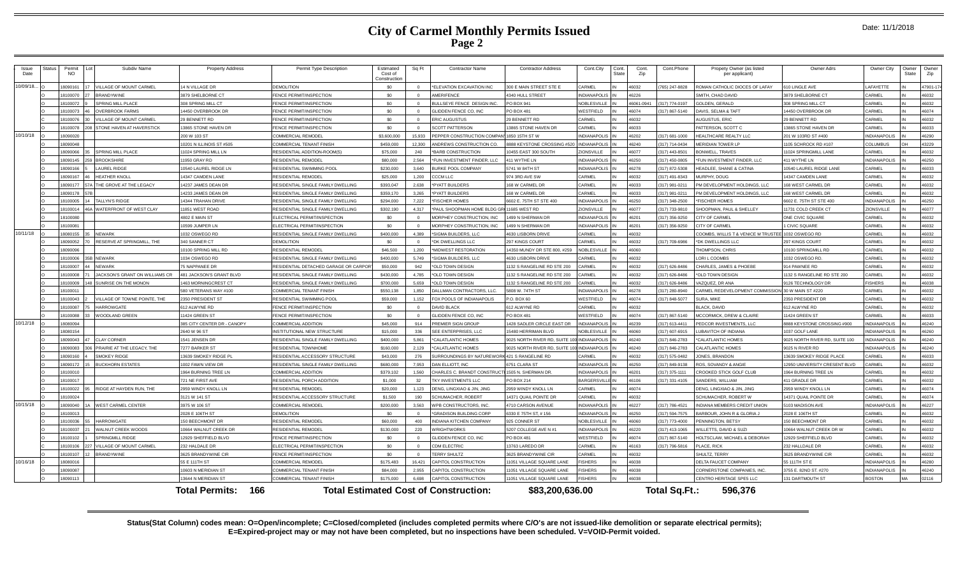|  | Date: 11/1/2018 |
|--|-----------------|
|--|-----------------|

| Issue<br>Date | Status | Permit<br><b>NO</b>  | Subdiv Name                                 | <b>Property Address</b>              | Permit Type Description                                 | Estimated<br>Cost of<br>Constructio | Sq Ft           | <b>Contractor Name</b>                       | <b>Contractor Address</b>                            | Cont.City                     | Cont.<br>State | Cont.<br>Zip | Cont.Phone         | Propety Owner (as listed<br>per applicant)          | Owner Adrs                            | Owner City                        | Owner<br>State | Owner<br>Zip   |
|---------------|--------|----------------------|---------------------------------------------|--------------------------------------|---------------------------------------------------------|-------------------------------------|-----------------|----------------------------------------------|------------------------------------------------------|-------------------------------|----------------|--------------|--------------------|-----------------------------------------------------|---------------------------------------|-----------------------------------|----------------|----------------|
| 10/09/18.     |        | 809016               | <b>ILLAGE OF MOUNT CARMEL</b>               | 14 N VILLAGE DR                      | <b>DEMOLITION</b>                                       | \$0                                 |                 | *ELEVATION EXCAVATION INC                    | 300 E MAIN STREET STE E                              | CARMEL                        |                | 6032         | 765) 247-8828      | ROMAN CATHOLIC DIOCES OF LAFAY                      | 610 LINGLE AVE                        | LAFAYETTE                         |                | 47901-1        |
|               |        | 18100070             | RRANDYWINE                                  | 3879 SHELBORNE CT                    | FENCE PERMIT/INSPECTION                                 | \$0                                 |                 | AMERIFENCE                                   | 340 HULL STREET                                      | <b>INDIANAPOLIS</b>           |                | 6226         |                    | SMITH, CHAD DAVID                                   | 3879 SHELBORNE CT                     | CARMEL                            |                | 46032          |
|               |        | 18100072             | <b>SPRING MILL PLACE</b>                    | 308 SPRING MILL CT                   | FENCE PERMIT/INSPECTION                                 | \$0                                 | $\Omega$        | BULLSEYE FENCE DESIGN INC.                   | PO BOX 941                                           | <b>NOBLESVILLE</b>            |                | 6061-094     | (317) 774-0197     | <b>GOLDEN, GERALD</b>                               | 308 SPRING MILL CT                    | CARMEL                            |                | 46032          |
|               |        | 18100073             | <b>OVERRROOK FARMS</b>                      | 14450 OVERBROOK DR                   | FENCE PERMIT/INSPECTION                                 | \$0                                 | $\Omega$        | GLIDDEN FENCE CO. INC                        | PO BOX 481                                           | WESTFIELD                     |                | 16074        | (317) 867-5140     | DAVIS, SELMA & TAFT                                 | 14450 OVERBROOK DR                    | CARMEL                            |                | 46074          |
|               |        | 8100076              | <b>ILLAGE OF MOUNT CARMEL</b>               | 29 BENNETT RD                        | <b>ENCE PERMIT/INSPECTION</b>                           | \$0                                 | $\Omega$        | <b>ERIC AUGUSTUS</b>                         | 9 BENNETT RD                                         | <b>ARMEL</b>                  |                | 6032         |                    | AUGUSTUS, ERIC                                      | 29 BENNETT RD                         | <b>ARMEL</b>                      |                | 46032          |
|               |        | 8100078              | <b>STONE HAVEN AT HAVERSTICK</b>            | 13865 STONE HAVEN DR                 | FENCE PERMIT/INSPECTION                                 | \$0                                 |                 | <b>SCOTT PATTERSON</b>                       | 3865 STONE HAVEN DR                                  | CARMEL                        |                | 6033         |                    | PATTERSON, SCOTT C                                  | 13865 STONE HAVEN DR                  | CARMEL                            |                | 46033          |
| 10/10/18      |        | 18090020             |                                             | 200 W 103 ST                         | COMMERCIAL REMODEL                                      | \$3,600,000                         | 15,933          | PEPPER CONSTRUCTION COMPA                    | 850 15TH ST W                                        | <b>INDIANAPOLIS</b>           |                | 16202        | (317) 681-1000     | HEALTHCARE REALTY LLC                               | 201 W 103RD ST #400                   | INDIANAPOLIS                      |                | 46290          |
|               |        | 18090048             |                                             | 10201 N ILLINOIS ST #505             | COMMERCIAL TENANT FINISH                                | \$459,000                           | 12,300          | ANDREWS CONSTRUCTION CO.                     | 888 KEYSTONE CROSSING #52                            | <b>INDIANAPOLIS</b>           |                | 6240         | (317) 714-0434     | <b>MERIDIAN TOWER LP</b>                            | 1105 SCHROCK RD #107                  | COLUMBUS                          |                | 43229          |
|               |        | 8090066              | SPRING MILL PLACE                           | 11024 SPRING MILL LN                 | RESIDENTIAL ADDITION-ROOM(S)                            | \$75,000                            | 240             | <b>BARB CONSTRUCTION</b>                     | 0455 EAST 300 SOUTH                                  | <b>IONSVILLE</b>              |                | 16077        | (317) 443-8501     | <b>RONWELL TRAVES</b>                               | 1024 SPRINGMILL LANE                  | ARMEL                             |                | 46032          |
|               |        | 8090145              | <b>BROOKSHIRE</b>                           | 1950 GRAY RD                         | <b>RESIDENTIAL REMODEL</b>                              | \$80,000                            | 2.564           | <b>FUN INVESTMENT FINDER, LLC</b>            | 11 WYTHE LN                                          | <b>NDIANAPOLIS</b>            |                | 16250        | (317) 450-0805     | *FUN INVESTMENT FINDER, LLC                         | 411 WYTHE LN                          | <b>NDIANAPOLIS</b>                |                | 46250          |
|               |        | 8090166              | <b>AUREL RIDGE</b>                          | 10540 LAUREL RIDGE LN                | <b>RESIDENTIAL SWIMMING POOL</b>                        | \$230,000                           | 3.640           | BURKE POOL COMPANY                           | 741 W 84TH ST                                        | NDIANAPOLIS                   |                | 6278         | (317) 872-5308     | HEADLEE, SHANE & CATINA                             | 0540 LAUREL RIDGE LANE                | CARMEL                            |                | 46033          |
|               |        | 18090167             | <b>HEATHER KNOLL</b>                        | 14347 CAMDEN LANE                    | <b>RESIDENTIAL REMODEL</b>                              | \$25,000                            | 1,200           | CCCM LLC                                     | 74 3RD AVE SW                                        | CARMEL                        |                | 16032        | (317) 491-8343     | MURPHY, DOUG                                        | 14347 CAMDEN LANE                     | CARMEL                            |                | 46032          |
|               |        | 18090177             | THE GROVE AT THE LEGACY                     | 14237 JAMES DEAN DR                  | RESIDENTIAL SINGLE FAMILY DWELLING                      | \$393.047                           | 2.638           | *PYATT BUILDERS                              | 68 W CARMEL DR                                       | CARMEL                        |                | 6033         | (317) 981-0211     | PM DEVELOPMENT HOLDINGS, LLC                        | 168 WEST CARMEL DR                    | CARMEL                            |                | 46032          |
|               |        | 18090178             |                                             | 14233 JAMES DEAN DR                  | RESIDENTIAL SINGLE FAMILY DWELLING                      | \$359.170                           | 3.265           | <b>PYATT BUILDERS</b>                        | 68 W CARMEL DR                                       | <b>CARMEL</b>                 |                | 16033        | (317) 981-0211     | PM DEVELOPMENT HOLDINGS, LLC                        | 68 WEST CARMEL DR                     | CARMEL                            |                | 46032          |
|               |        | 8100005              | ALLYN'S RIDGE                               | 14344 TRAHAN DRIVE                   | RESIDENTIAL SINGLE FAMILY DWELLING                      | \$294,000                           | 7,222           | <b>FISCHER HOMES</b>                         | 602 E. 75TH ST STE 400                               | <b>NDIANAPOLIS</b>            |                | 6250         | (317) 348-2500     | <b>FISCHER HOMES</b>                                | 6602 E. 75TH ST STE 400               | NDIANAPOLIS                       |                | 46250          |
|               |        | 18100014             | VATERFRONT OF WEST CLAY                     | 11851 WEST ROAD                      | RESIDENTIAL SINGLE FAMILY DWELLING                      | \$302,190                           | 4.317           | *PAUL SHOOPMAN HOME BLDG G                   | <b>1685 WEST RD</b>                                  | <b>IONSVILLE</b>              |                | 16077        | (317) 733-9810     | SHOOPMAN, PAUL & SHELLEY                            | 11731 COLD CREEK CT                   | ZIONSVILLE                        |                | 46077          |
|               |        | 18100080             |                                             | 4802 E MAIN ST                       | ELECTRICAL PERMIT/INSPECTION                            | \$0                                 | $\Omega$        | MORPHEY CONSTRUCTION, INC                    | 499 N SHERMAN DR                                     | <b>NDIANAPOLIS</b>            |                | 16201        | (317) 356-9250     | CITY OF CARMEL                                      | ONE CIVIC SQUARE                      | CARMEL                            |                | 46032          |
|               |        | 18100081             |                                             | 10599 JUMPER LN                      | ELECTRICAL PERMIT/INSPECTION                            | \$0                                 |                 | MORPHEY CONSTRUCTION, INC                    | 499 N SHERMAN DR                                     | <b>NDIANAPOLIS</b>            |                | 6201         | (317) 356-9250     | CITY OF CARMEL                                      | 1 CIVIC SQUARE                        | CARMEL                            |                | 46032          |
| 10/11/18      |        | 8080155              | <b>NFWARK</b>                               | 1032 OSWEGO RD                       | RESIDENTIAL SINGLE FAMILY DWELLING                      | \$400,000                           | 4.389           | <b>SIGMA BUILDERS, LLC</b>                   | 630 LISBORN DRIVE                                    | ARMEL                         |                | 6032         |                    | COOMBS, WILLIS T & VENICE M TRUSTE                  | 1032 OSWEGO RD                        | CARMEL                            |                | 46032          |
|               |        | 8090052              | RESERVE AT SPRINGMILL, THE                  | 340 SANNER CT                        | DEMOLITION                                              | \$0                                 |                 | DK DWELLINGS LLC                             | 97 KINGS COURT                                       | <b>ARMEL</b>                  |                | 6032         | 317) 709-6986      | *DK DWELLINGS LLC                                   | 297 KINGS COURT                       | CARMEL                            |                | 46032          |
|               |        | 18090096             |                                             | 10100 SPRING MILL RD                 | <b>RESIDENTIAL REMODEL</b>                              | \$46,500                            | 1.200           | <b>MIDWEST RESTORATION</b>                   | 4350 MUNDY DR STE 800, #259                          | NOBLESVILI                    |                | 0808         |                    | THOMPSON, CHRIS                                     | 10100 SPRINGMILL RD                   | CARMEL                            |                | 46032          |
|               |        | 18100006             | <b>NEWARK</b>                               | 1034 OSWEGO RD                       | RESIDENTIAL SINGLE FAMILY DWELLING                      | \$400,000                           | 5.749           | SIGMA BUILDERS, LLC                          | 630 LISBORN DRIVE                                    | <b>ARMEL</b>                  |                | 6032         |                    | LORI L COOMBS                                       | 1032 OSWEGO RD                        | CARMEL                            |                | 46032          |
|               |        | 18100007             | <b>NEWARK</b>                               | <b>75 NAPPANEE DR</b>                | RESIDENTIAL DETACHED GARAGE OR CARPO                    | \$50,000                            | 942             | *OLD TOWN DESIGN                             | 132 S RANGELINE RD STE 200                           | ARMEL                         |                | 6032         | (317) 626-8486     | CHARLES, JAMES & PHOEBE                             | 914 PAWNEE RD                         | CARMEL                            |                | 46032          |
|               |        | 18100008             | <b>ACKSON'S GRANT ON WILLIAMS CR</b>        | 481 JACKSON'S GRANT BLVD             | RESIDENTIAL SINGLE FAMILY DWELLING                      | \$430,000                           | 4.785           | *OLD TOWN DESIGN                             | 132 S RANGELINE RD STE 200                           | ARMEL                         |                | 16032        | (317) 626-8486     | *OLD TOWN DESIGN                                    | 132 S RANGELINE RD STE 200            | ARMEL                             |                | 46032          |
|               |        | 18100009             | SUNRISE ON THE MONON                        | <b>463 MORNINGCREST CT</b>           | RESIDENTIAL SINGLE FAMILY DWELLING                      | \$700,000                           | 5.659           | *OLD TOWN DESIGN                             | 132 S RANGELINE RD STE 200                           | ARMEL                         |                | 6032         | (317) 626-8486     | VAZQUEZ, DR ANA                                     | 9126 TECHNOLOGY DR                    | <b>ISHERS</b>                     |                | 46038          |
|               |        | 18100011             |                                             | 580 VFTFRANS WAY #10                 | <b>COMMERCIAL TENANT FINISH</b>                         | \$550.138                           | 1.850           | DALLMAN CONTRACTORS, LLC.                    | 5808 W. 74TH ST                                      | NDIANAPOLIS                   |                | 6278         | (317) 280-8940     | CARMEL REDEVELOPMENT COMMISSION 30 W MAIN ST #220   |                                       | CARMEL                            |                | 46032          |
|               |        | 18100043             | <b>ILLAGE OF TOWNE POINTE, THE</b>          | 2350 PRESIDENT ST                    | RESIDENTIAL SWIMMING POOL                               | \$59,000                            | 1.152           | FOX POOLS OF INDIANAPOLIS                    | <b>0.8 BOX 60</b>                                    | <b>NESTFIELD</b>              |                | 16074        | (317) 848-5077     | SURA. MIKE                                          | 2350 PRESIDENT DR                     | CARMEL                            |                | 46032          |
|               |        | 18100087             | <b>HARROWGATE</b>                           | 612 ALWYNE RD                        | <b>FENCE PERMIT/INSPECTION</b>                          | \$0                                 | $\Omega$        | <b>DAVID BLACK</b>                           | 12 ALWYNE RD                                         | CARMEL                        |                | 6032         |                    | <b>BLACK, DAVID</b>                                 | 612 ALWYNE RD                         | CARMEL                            |                | 46032          |
|               |        | 18100088             | VOODLAND GREEN                              | 11424 GREEN ST                       | <b>FENCE PERMIT/INSPECTION</b>                          | \$0                                 | $\Omega$        | GLIDDEN FENCE CO, INC                        | PO BOX 481                                           | VESTFIELD                     |                | 16074        | (317) 867-5140     | MCCORMICK, DREW & CLAIRE                            | 1424 GREEN ST                         | <b>ARMEL</b>                      |                | 46033          |
| 10/12/18      |        | 8080094              |                                             | 385 CITY CENTER DR - CANOPY          | <b>COMMERCIAL ADDITION</b>                              | \$45,000                            | 914             | <b>PREMIER SIGN GROUP</b>                    | 428 SADLER CIRCLE EAST DR                            | <b>NDIANAPOLIS</b>            |                | 6239         | (317) 613-4411     | PEDCOR INVESTMENTS, LLC                             | 888 KEYSTONE CROSSING #900            | NDIANAPOLIS                       |                | 46240          |
|               |        | 8080154              |                                             | 2640 W 96 ST                         | <b>INSTITUTIONAL NEW STRUCTURE</b>                      | \$15,000                            | 336             | SFF ENTERPRISES. LLC                         | 5480 HERRIMAN BI VI                                  | <b>IOBLESVILLE</b>            |                | 6060         | (317) 607-6915     | UBAVITCH OF INDIANA                                 | 1037 GOLF LANE                        | NDIANAPOLIS                       |                | 46260          |
|               |        | RO90043              | <b>LI AY CORNER</b>                         | 1541 JENSEN DR                       | RESIDENTIAL SINGLE FAMILY DWELLING                      | \$400,000                           | 5.861           | CALATI ANTIC HOMES                           | 025 NORTH RIVER RD. SUITE 1                          | NDIANAPOLIS                   |                | 16240        | (317) 846-2783     | *CALATI ANTIC HOMES                                 | 9025 NORTH RIVER RD, SUITE 100        | NDIANAPOLIS                       |                | 46240          |
|               |        | 8090083              | PRAIRIE AT THE LEGACY. THE                  | 7277 BARKER ST                       | <b>RESIDENTIAL TOWNHOME</b>                             | \$160,000                           | 2,129           | CALATLANTIC HOMES                            | 025 NORTH RIVER RD, SUITE                            | <b>VDIANAPOLIS</b>            |                | 6240         | (317) 846-2783     | CALATLANTIC HOMES                                   | 9025 N RIVER RD                       | NDIANAPOLIS                       |                | 46240          |
|               |        | 18090160             | SMOKEY RIDGE                                | 13639 SMOKEY RIDGE PL                | RESIDENTIAL ACCESSORY STRUCTURE                         | \$43,000                            | 276             | <b>SURROUNDINGS BY NATUREWOR</b>             | 421 S RANGELINE RD                                   | <b>ARMEL</b>                  |                | 16032        | $(317) 575 - 0482$ | JONES, BRANDON                                      | 3639 SMOKEY RIDGE PLACE               | ARMEL                             |                | 46033          |
|               |        | 8090172              | <b>UCKHORN ESTATES</b>                      | 002 FAWN VIEW DR                     | RESIDENTIAL SINGLE FAMILY DWELLING                      | \$680,000                           | 7.953           | <b>DAN ELLIOTT, INC</b>                      | 751 CLARA ST                                         | <b>VDIANAPOLIS</b>            |                | 6250         | 317) 849-9138      | ROS, SOVANDY & ANGIE                                | 2950 UNIVERSITY CRESENT BLVD          | <b>ARMEL</b>                      |                | 46032          |
|               |        | 18100010             |                                             | 1964 BURNING TREE LM                 | COMMERCIAL ADDITION                                     | \$379,102                           | 1.560           | CHARLES C. BRANDT CONSTRUCT                  | 1505 N. SHERMAN DR                                   | <b>INDIANAPOLIS</b>           |                | 16201        | (317) 375-1111     | CROOKED STICK GOLF CLUB                             | 1964 BURNING TREE LN                  | CARMEL                            |                | 46032          |
|               |        | 18100017             |                                             | 721 NF FIRST AVE                     | RESIDENTIAL PORCH ADDITION                              | \$1,000                             | 32              | TKY INVESTMENTS LLC                          | 20 BOX 214                                           | <b>BARGERSVILLE</b>           |                | 8016         | (317) 331-4105     | SANDERS, WILLIAM                                    | 411 GRADLE DR                         | <b>ARMEL</b>                      |                | 46032          |
|               |        | 18100022             | RIDGE AT HAYDEN RUN. THE                    | 2959 WINDY KNOLL LN                  | <b>RESIDENTIAL REMODEL</b>                              | \$20,000                            | 1.123           | DENG, LINGXIAO & JIN, JING                   | 959 WINDY KNOLL LN                                   | <b>ARMEL</b>                  |                | 16074        |                    | DENG, LINGXIAO & JIN, JING                          | 2959 WINDY KNOLL LN                   | CARMEL                            |                | 46074          |
|               |        | 8100024              |                                             | 3121 W 141 ST                        | RESIDENTIAL ACCESSORY STRUCTURE                         | \$1,500                             | 190             | <b>SCHUMACHER, ROBERT</b>                    | 4371 QUAIL POINTE DR                                 | ARMEL                         |                | 6032         |                    | SCHUMACHER, ROBERT W                                | 14371 QUAIL POINTE DR                 | ARMEL                             |                | 46074          |
| 10/15/18      |        | 8090040              | <b><i>NEST CARMEL CENTER</i></b>            | 3975 W 106 ST                        | <b>COMMERCIAL REMODEL</b>                               | \$200,000                           | 3.563           | WPB CONSTRUCTORS, INC                        | 710 CARSON AVENUE                                    | <b>NDIANAPOLIS</b>            |                | 6227         | (317) 786-4521     | INDIANA MEMBERS CREDIT UNION                        | 5103 MADISON AVE                      | NDIANAPOLIS                       |                | 46227          |
|               |        | 18100013             |                                             | 2028 F 106TH ST                      | <b>DEMOLITION</b>                                       | \$0                                 | $\Omega$        | <b>"GRADISON BUILDING CORP</b>               | 6330 E 75TH ST. # 156                                | <b>INDIANAPOLIS</b>           |                | 16250        | (317) 594-7575     | BARBOUR, JOHN R & GLORIA J                          | 2028 E 106TH ST                       | CARMEL                            |                | 46032          |
|               |        | 18100036             | <b>HARROWGATE</b>                           | 150 BEECHMONT DR                     | <b>RESIDENTIAL REMODEL</b>                              | \$60,000                            | 400             | INDIANA KITCHEN COMPANY                      | 925 CONNER ST                                        | <b>NOBLESVILLE</b>            |                | 08064        | (317) 773-4000     | PENNINGTON, BETSY                                   | 150 BEECHMONT DR                      | CARMEL                            |                | 46032          |
|               |        | 18100037             | WALNUT CREEK WOODS                          | 10664 WALNUT CREEK DR                | RESIDENTIAL REMODEL                                     | \$130,000                           | 220             | WRIGHTWORKS                                  | 207 COLLEGE AVE N #1                                 | NDIANAPOLIS                   |                | 6220         | (317) 413-1065     | WILLETTS, DAVID & SUZI                              | 10664 WALNUT CREEK DR W               | CARMEL                            |                | 46032          |
|               |        | 18100102             | PRINGMILL RIDGE                             | 12929 SHEFFIELD BLVD                 | FENCE PERMIT/INSPECTION                                 | \$0                                 |                 | GLIDDEN FENCE CO. INC                        | O BOX 481                                            | VESTFIELD                     |                | 16074        | (317) 867-5140     | HOLTSCLAW, MICHAEL & DEBORAH                        | 12929 SHEFFIELD BLVD                  | <b>ARMEL</b>                      |                | 46032          |
|               |        | 8100106<br>18100107  | <b>ILLAGE OF MOUNT CARMEL</b><br>BRANDYWINE | 232 HALDALE DR                       | ELECTRICAL PERMIT/INSPECTION<br>FENCE PERMIT/INSPECTION | \$0<br>\$0                          |                 | <b>CDM ELECTRIC</b><br>TERRY SHULTZ          | 3763 LAREDO DR                                       | CARMEL<br>CARMEL              |                | 6163         | (317) 796-5816     | PLACE, RICK                                         | 232 HALLDALE DR                       | CARMEL<br>CARMEL                  |                | 46032          |
| 10/16/18      |        |                      |                                             | 3625 BRANDYWINE CIR                  |                                                         |                                     |                 |                                              | 625 BRANDYWINE CIR                                   |                               |                | 6032<br>8038 |                    | SHULTZ, TERRY                                       | 3625 BRANDYWINE CIR<br>55 111 TH ST E |                                   |                | 46032          |
|               |        | 18080016<br>18090087 |                                             | 55 E 111TH ST<br>10603 N MERIDIAN ST | <b>COMMERCIAL REMODEL</b><br>COMMERCIAL TENANT FINISH   | \$175,483<br>\$84,000               | 16.421<br>2,955 | CAPITOL CONSTRUCTION<br>CAPITOL CONSTRUCTION | 1051 VILLAGE SQUARE LANE<br>1051 VILLAGE SQUARE LANE | <b>ISHERS</b><br><b>SHERS</b> |                | 6038         |                    | DELTA FAUCET COMPANY<br>CORNERSTONE COMPANIES, INC. | 3755 E. 82ND ST. #270                 | <b>NDIANAPOLIS</b><br>NDIANAPOLIS |                | 46280<br>46240 |
|               |        | 8090113              |                                             | 13644 N MERIDIAN ST                  | COMMERCIAL TENANT FINISH                                | \$175.000                           | 6.698           | CAPITOL CONSTRUCTION                         | 1051 VILLAGE SOUARE LANE                             | <b>SHERS</b>                  |                | 86038        |                    | CENTRO HERITAGE SPE5 LLC                            | <b>131 DARTMOUTH ST</b>               | <b>BOSTON</b>                     |                | 02116          |
|               |        |                      |                                             |                                      |                                                         |                                     |                 |                                              |                                                      |                               |                |              |                    |                                                     |                                       |                                   |                |                |
|               |        |                      |                                             | <b>Total Permits:</b><br>-166        |                                                         |                                     |                 | <b>Total Estimated Cost of Construction:</b> | \$83,200,636.00                                      |                               |                |              | Total Sq.Ft.:      | 596.376                                             |                                       |                                   |                |                |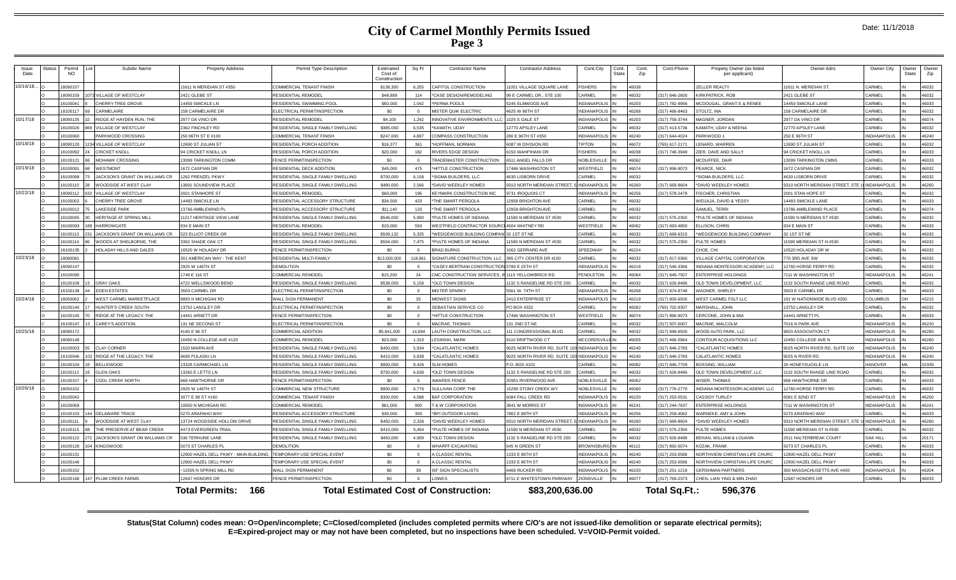| Issue<br>Date | Status | Permit<br>NO. | Subdiv Name                       | <b>Property Address</b>              | Permit Type Description            | Estimated<br>Cost of<br>Construction | Sq Ft      | <b>Contractor Name</b>                       | <b>Contractor Address</b>        | Cont.City<br>Cont.<br>State | Cont.<br>Zip | Cont.Phone           | Propety Owner (as listed<br>per applicant) | Owner Adrs                      | Owner City          | Owner<br>State | Owner<br>Zip |
|---------------|--------|---------------|-----------------------------------|--------------------------------------|------------------------------------|--------------------------------------|------------|----------------------------------------------|----------------------------------|-----------------------------|--------------|----------------------|--------------------------------------------|---------------------------------|---------------------|----------------|--------------|
| 10/16/18.     |        | 18090157      |                                   | 1611 N MERIDIAN ST #350              | COMMERCIAL TENANT FINISH           | \$138,300                            | 6,255      | CAPITOL CONSTRUCTION                         | 1051 VILLAGE SQUARE LANE         | <b>ISHERS</b>               | 46038        |                      | <b>ELLER REALTY</b>                        | 11611 N. MERIDIAN ST.           | CARMEL              |                | 46032        |
|               |        | 18090159      | 073 VILLAGE OF WESTCLAY           | 2421 GLEBE ST                        | RESIDENTIAL REMODEL                | \$48,899                             | 114        | CASE DESIGN/REMODELING                       | 99 E CARMEL DR., STE 100         | ARMEL                       | 46032        | 317) 846-2600        | <b>IRKPATRICK ROF</b>                      | 2421 GLEBE ST                   | CARMEL              |                | 46032        |
|               |        | 1810004       | CHERRY TREE GROVE                 | 4459 SMICKLE LN                      | <b>RESIDENTIAL SWIMMING POOL</b>   | \$50,000                             | 1.042      | PERMA POOLS                                  | 245 ELMWOOD AVE                  | VDIANAPOLIS                 | 46203        | 317) 782-9956        | <b>ICDOUGAL, GRANT E &amp; RENEE</b>       | 4459 SMICKLE LANE               | CARMEI              |                | 46033        |
|               |        | 18100117      | CARMELAIRE                        | 58 CARMELAIRE DR                     | ELECTRICAL PERMIT/INSPECTION       | \$0                                  | $\sqrt{ }$ | <b>MISTER QUIK ELECTRIC</b>                  | 4625 W 86TH ST                   | <b>NDIANAPOLIS</b>          | 46268        | 317) 466-8463        | TOLTZ INA                                  | <b>158 CARMELAIRE DF</b>        | CARMEL              |                | 46032        |
| 10/17/18      |        | 18090135      | RIDGE AT HAYDEN RUN. THE          | 2977 DA VINCI DR                     | <b>RESIDENTIAL REMODEL</b>         | \$4,100                              | 1.242      | NNOVATIVE ENVIRONMENTS, LLC                  | 1025 S GALE ST                   | NDIANAPOLIS                 | 46203        | 317) 759-3744        | <b>IAGNER, JORDAN</b>                      | 2977 DA VINCI DR                | CARMEL              |                | 46074        |
|               |        | 18100026      | <b>VILLAGE OF WESTCLAY</b>        | 362 FINCHLEY RD                      | RESIDENTIAL SINGLE FAMILY DWELLING | \$385,000                            | 6.535      | KAMATH, UDAY                                 | 12770 APSLEY LANE                | ARMEL                       | 46032        | 317) 413-5736        | AMATH, UDAY & NEENA                        | 2770 APSLEY LANE                | CARMEL              |                | 46032        |
|               |        | 18100060      | PARKWOOD CROSSING                 | 250 96TH ST E #100                   | COMMERCIAL TENANT FINISH           | \$247,000                            | 4887       | COMPASS CONSTRUCTION                         | 280 E 96TH ST #350               | NDIANAPOLIS                 | 46240        | 317) 644-4024        | ARKWOOD 1                                  | 250 E 96TH ST                   | INDIANAPOLIS        |                | 46240        |
| 10/18/18      |        | 8090120       | VILLAGE OF WESTCLAY               | 2690 ST JULIAN ST                    | RESIDENTIAL PORCH ADDITION         | \$16,377                             | 361        | HOFFMAN, NORMAN                              | 6087 W DIVISION RD               | <b>PTON</b>                 | 16072        | 65) 617-2171         | ENARD, WARREN                              | 2690 ST JULIAN ST               | CARMEI              |                | 16032        |
|               |        | 18100093      | CRICKET KNOLL                     | 4 CRICKET KNOLL LN                   | RESIDENTIAL PORCH ADDITION         | \$20,000                             | 182        | RIVERS EDGE DESIGN                           | <b>150 WAHPIHANI DR</b>          | <b>ISHERS</b>               | 46038        | 317) 748-3949        | <b>IER. DAVE AND SALLY</b>                 | <b>94 CRICKET KNOLL LN</b>      | CARMEL              |                | 46033        |
|               |        | 18100121      | <b>MOHAWK CROSSING</b>            | 3099 TARKINGTON COMM                 | <b>FENCE PERMIT/INSPECTION</b>     | \$0                                  | $\Omega$   | TRADEMASTER CONSTRUCTION                     | 6511 ANGEL FALLS DR              | NOBLESVILLE                 | 46062        |                      | <b>MCDUFFEE, DAIR</b>                      | <b>13099 TARKINGTON CMNS</b>    | CARMEL              |                | 46033        |
| 10/19/18      |        | 18100091      | <b>WESTMONT</b>                   | 672 CASPIAN DR                       | RESIDENTIAL DECK ADDITION          | \$45,000                             | 475        | <b>HITTLE CONSTRUCTION</b>                   | 7466 WASHINGTON ST               | <b>ESTFIELD</b>             | 46074        | 317) 896-9073        | <b>EARCE, NICK</b>                         | 672 CASPIAN DR                  | CARMEL              |                | 46032        |
|               |        | 18100098      | JACKSON'S GRANT ON WILLIAMS CR    | 262 FRENZEL PKWY                     | RESIDENTIAL SINGLE FAMILY DWELLING | \$700,000                            | 6.156      | SIGMA BUILDERS. LLC                          | <b>I630 LISRORN DRIVE</b>        | ARMEL                       | 46032        |                      | SIGMA BUILDERS, LLC                        | <b>1630 LISBORN DRIVE</b>       | <b>ARMEL</b>        |                | 46032        |
|               |        | 18100110      | WOODSIDE AT WEST CLAY             | 3691 SOUNDVIEW PLACE                 | RESIDENTIAL SINGLE FAMILY DWELLING | \$490,000                            | 2,566      | DAVID WEEKLEY HOMES                          | 310 NORTH MERIDIAN STREET.       | <b>INDIANAPOLIS</b>         | 46260        | 317) 669-860         | DAVID WEEKLEY HOMES                        | 9310 NORTH MERIDIAN STREET, STE | <b>INDIANAPOLIS</b> |                | 46260        |
| 10/22/18      |        | 18090112      | VILLAGE OF WESTCLAY<br>ລາ         | 2001 STANHOPE ST                     | RESIDENTIAL REMODEL                | \$60,000                             | 196        | <b>KEYMARK CONSTRUCTION INC</b>              | 9731 IROQUOIS CT                 | VDIANAPOLIS                 | 46256        | 317) 578-2479        | <b>ISCHER, CHRISTIAN</b>                   | 2001 STAN HOPE ST               | CARMEL              |                | 46032        |
|               |        | 18100002      | CHERRY TREE GROVE                 | 4483 SMICKLE LN                      | RESIDENTIAL ACCESSORY STRUCTURE    | \$34,500                             | 420        | THE SMART PERGOLA                            | 12958 BRIGHTON AVE               | <b>ARMEI</b>                | 46032        |                      | <b>VIDJAJA, DAVID &amp; YESSY</b>          | 4483 SMICKLE LANE               | CARMEL              |                | 46033        |
|               |        | 18100012      | <b>LAKESIDE PARK</b>              | 3766 AMBLEWIND PL                    | RESIDENTIAL ACCESSORY STRUCTURE    | \$11,140                             | 120        | THE SMART PERGOLA                            | 12958 BRIGHTON AVE               | ARMEI                       | 46032        |                      | SAMUEL, TERRI                              | 3766 AMBLEWIND PLACE            | CARMEL              |                | 46074        |
|               |        | 18100045      | <b>HERITAGE AT SPRING MILL</b>    | 1217 HERITAGE VIEW LANE              | RESIDENTIAL SINGLE FAMILY DWELLING | \$546,000                            | 5.900      | PULTE HOMES OF INDIANA                       | 1590 N MERIDIAN ST #530          | <b>ARMEL</b>                | 46032        | 317) 575-2350        | PULTE HOMES OF INDIANA                     | 1590 N MERIDIAN ST #530         | CARMEL              |                | 46032        |
|               |        | 18100093      | 89 HARROWGATE                     | 934 E MAIN ST                        | <b>RESIDENTIAL REMODEL</b>         | \$20,000                             | 550        | <b>VESTFIELD CONTRACTOR SOUR</b>             | 4504 WHITNEY RD                  | <b>NESTFIELD</b>            | 46062        | 317) 693-4850        | LISON, CHRIS                               | 934 E MAIN ST                   | CARMEI              |                | 46033        |
|               |        | 18100113      | JACKSON'S GRANT ON WILLIAMS CR    | <b>23 ELLIOT CREEK DR</b>            | RESIDENTIAL SINGLE FAMILY DWELLING | \$508,132                            | 5.325      | WEDGEWOOD BUILDING COMPAI                    | 32 1ST ST NE                     | <b>ARMEL</b>                | 46032        | 317) 669-6315        | <b>NEDGEWOOD BUILDING COMPANY</b>          | 32 1ST ST NE                    | CARMEL              |                | 46032        |
|               |        | 18100114      | WOODS AT SHELBORNE. THE           | 3362 SHADE OAK CT                    | RESIDENTIAL SINGLE FAMILY DWELLING | \$594,000                            | 7,475      | PULTE HOMES OF INDIANA                       | 1590 N MERIDIAN ST #530          | <b>ARMEL</b>                | 46032        | 317) 575-2350        | <b>ULTE HOMES</b>                          | 1590 MERIDIAN ST N #530         | CARMEL              |                | 46032        |
|               |        | 18100135      | HOLADAY HILLS AND DALES           | 0520 W HOLADAY DR                    | FENCE PERMIT/INSPECTION            | \$0                                  | $\Omega$   | <b>BRAD BURNS</b>                            | 1002 GERRARD AVE                 | SPEEDWAY                    | 46224        |                      | HOE, CHI                                   | 0520 HOLADAY DR W               | CARMEL              |                | 46032        |
| 10/23/18      |        | 18080081      |                                   | 01 AMERICAN WAY - THE KENT           | <b>RESIDENTIAL MULTI-FAMILY</b>    | \$13,500,000                         | 118,861    | <b>IGNATURE CONSTRUCTION, LLC</b>            | 385 CITY CENTER DR #100          | ARMEL                       | 46032        | 317) 817-0360        | ILLAGE CAPITAL CORPORATION                 | 770 3RD AVE SW                  | CARMEL              |                | 46032        |
|               |        | 18090147      |                                   | 2925 W 146TH ST                      | DEMOLITION                         | \$0                                  |            | CASEY-BERTRAM CONSTRUCTIO                    | 5780 E 25TH ST                   | <b>NDIANAPOLIS</b>          | 46218        | 317) 546-3366        | <b>JDIANA MONTESSORI ACADEMY, LLC</b>      | <b>12760 HORSE FERRY RD</b>     | CARMEI              |                | 46032        |
|               |        | 18100090      |                                   | 748 E 116 ST                         | <b>COMMERCIAL REMODEL</b>          | \$15,200                             | 24         | CMC CONSTRUCTION SERVICES                    | 110 YELLOWBRICK RD               | <b>ENDLETON</b>             | 46064        | 317) 849-7507        | NTERPRISE HOLDINGS                         | 7111 W WASHINGTON ST            | INDIANAPOLIS        |                | 46241        |
|               |        | 18100109      | <b>GRAY OAKS</b>                  | 4722 WELLSWOOD BEND                  | RESIDENTIAL SINGLE FAMILY DWELLING | \$538,000                            | 5.156      | OLD TOWN DESIGN                              | 132 S RANGELINE RD STE 200       | ARMEL                       | 46032        | 317) 626-8486        | LD TOWN DEVELOPMENT, LLC                   | 1132 SOUTH RANGE LINE ROAD      | CARMEL              |                | 46032        |
|               |        | 18100139      | <b>EDEN ESTATES</b>               | 3503 CARMEL DR                       | ELECTRICAL PERMIT/INSPECTION       | \$0                                  | $\Omega$   | <b>MISTER SPARKY</b>                         | 5561 W. 74TH ST                  | NDIANAPOLIS                 | 46268        | 317) 874-8748        | <b>AGNER, SHIRLEY</b>                      | 503 E CARMEL DR                 | CARMEL              |                | 46033        |
| 10/24/18      |        | 18050062      | WEST CARMEL MARKETPLACE           | 893 N MICHIGAN RD                    | <b>WALL SIGN PERMANENT</b>         | \$0                                  | 35         | <b>MIDWEST SIGNS</b>                         | 2410 ENTERPRISE ST               | <b>NDIANAPOLIS</b>          | 46219        | 317) 800-6500        | <b>JEST CARMEL FSLT LLC</b>                | 191 W NATIONWIDE BLVD #200      | COLUMBUS            |                | 43215        |
|               |        | 18100140      | HUNTER'S CREEK SOUTH              | 3752 LANGLEY DR                      | ELECTRICAL PERMIT/INSPECTION       | \$0                                  |            | SEBASTIAN SERVICE CO                         | PO BOX 4332                      | ARMEL                       | 46082        | (65) 702-9307        | <b>ARSHALL, JOHN</b>                       | 13752 LANGLEY DR                | CARMEL              |                | 46032        |
|               |        | 18100145      | RIDGE AT THE LEGACY. THE          | 4441 ARNETT DR                       | FENCE PERMIT/INSPECTION            | \$0                                  | $\Omega$   | <b>HITTLE CONSTRUCTION</b>                   | 7466 WASHINGTON ST               | <b>NESTFIELD</b>            | 46074        | 317) 896-9073        | ERCONE, JOHN & MIA                         | 14441 ARNETT PI                 | CARMEL              |                | 46033        |
|               |        | 18100147      | <b>CAREY'S ADDITION</b>           | 31 NE SECOND ST                      | ELECTRICAL PERMIT/INSPECTION       | \$0                                  | $\Omega$   | <b>MACRAE, THOMAS</b>                        | 131 2ND ST NE                    | <b>ARMEL</b>                | 46032        | 317) 507-0007        | <b>IACRAE, MALCOLM</b>                     | 7016 N PARK AVE                 | <b>INDIANAPOLIS</b> |                | 46220        |
| 10/25/18      |        | 18080172      |                                   | 1160 E 96 ST                         | COMMERCIAL ADDITION                | \$5,641,000                          | 14.694     | LAUTH CONSTRUCTION, LLC                      | 11 CONGRESSIONAL BLVD            | ARMEL                       | 46032        | 317) 848-6500        | /OOD AUTO PARK, LLC                        | 820 ASSOCIATION CT              | <b>INDIANAPOLIS</b> |                | 46280        |
|               |        | 18090148      |                                   | 0450 N COLLEGE AVE #120              | COMMERCIAL REMODEL                 | \$23,000                             | 1.319      | <b>FSINSKI, MARK</b>                         | 110 DRIFTWOOD CT                 | <b>ICCORDSVILL</b>          | 46055        | 317) 496-5964        | ONTOUR ACQUISITIONS LLC                    | 0450 COLLEGE AVE N              | NDIANAPOLIS         |                | 08954        |
|               |        | 18100003      | <b>CLAY CORNER</b>                | 520 MAIRN AVE                        | RESIDENTIAL SINGLE FAMILY DWELLING | \$400,000                            | 5.934      | <b>CALATLANTIC HOMES</b>                     | 025 NORTH RIVER RD, SUITE        | <b>NDIANAPOLI</b>           | 46240        | 317) 846-2783        | CALATLANTIC HOMES                          | 025 NORTH RIVER RD, SUITE 100   | <b>INDIANAPOLIS</b> |                | 46240        |
|               |        | 18100046      | RIDGE AT THE LEGACY. THE          | 6695 PULASKI LN                      | RESIDENTIAL SINGLE FAMILY DWELLING | \$410,000                            | 5.838      | 'CALATLANTIC HOMES                           | 9025 NORTH RIVER RD, SUITE 1     | <b>INDIANAPOLIS</b>         | 46240        | 317) 846-2783        | ALATLANTIC HOMES                           | 025 N RIVER RD                  | INDIANAPOLIS        |                | 46240        |
|               |        | 18100104      | BELLEWOOD                         | 3328 CARMICHAEL LN                   | RESIDENTIAL SINGLE FAMILY DWELLING | \$900,000                            | 8.426      | <b>SLM HOMES</b>                             | <b>PO BOX 4102</b>               | ARMEI                       | 46082        | 317) 846-7709        | OSSING, WILLIAM                            | <b>26 HONEYSUCKLE LN</b>        | HANOVER             |                | 02339        |
|               |        | 18100112      | <b>GLEN OAKS</b>                  | 3260 E LETTS LN                      | RESIDENTIAL SINGLE FAMILY DWELLING | \$750,000                            | 6.639      | OLD TOWN DESIGN                              | 132 S RANGELINE RD STE 200       | ARMEI                       | 46032        | 317) 626-8486        | LD TOWN DEVELOPMENT, LLC                   | 132 SOUTH RANGE LINE ROAD       | CARMEL              |                | 46032        |
|               |        | 18100157      | COOL CREEK NORTH                  | <b>668 HAWTHORNE DR</b>              | FENCE PERMIT/INSPECTION            | \$0                                  | $\sqrt{ }$ | AWARDS FENCE                                 | 0951 RIVERWOOD AVE               | <b>OBLESVILLE</b>           | 46062        |                      | <b>JISER THOMAS</b>                        | 668 HAWTHORNE DR                | <b>ARMEL</b>        |                | 46033        |
| 10/26/18      |        | 18050152      |                                   | 925 W 146TH ST                       | COMMERCIAL NEW STRUCTURE           | \$900,000                            | 6.776      | <b>SULLIVAN CORP, THE</b>                    | 5299 STONY CREEK WY              | OBLESVILLE                  | 46060        | 317) 776-2770        | <b>JDIANA MONTESSORI ACADEMY. LLC</b>      | 2760 HORSE FERRY RD             | <b>ARMEI</b>        |                | 6032         |
|               |        | 18100042      |                                   | 3077 E 98 ST #160                    | COMMERCIAL TENANT FINISH           | \$300,000                            | 4588       | <b>BAF CORPORATION</b>                       | 6084 FALL CREEK RD               | NDIANAPOLIS                 | 46220        | 317) 253-0531        | <b>ASSIDY TURLEY</b>                       | 6081 E 82ND ST                  | <b>INDIANAPOLIS</b> |                | 46250        |
|               |        | 18100069      |                                   | 0650 N MICHIGAN RD                   | COMMERCIAL REMODEL                 | \$61,000                             | 900        | <b>T &amp; W CORPORATION</b>                 | 3841 W MORRIS ST                 | NDIANAPOLIS                 | 46241        | 317) 244-7637        | <b>NTERPRISE HOLDINGS</b>                  | 111 W WASHINGTON ST             | <b>INDIANAPOLIS</b> |                | 46241        |
|               |        | 18100103      | 144 DELAWARE TRACE                | 270 ARAPAHO WAY                      | RESIDENTIAL ACCESSORY STRUCTURE    | \$30,000                             | 300        | BPI OUTDOOR LIVING                           | 7802 E 88TH ST                   | VDIANAPOLIS                 | 46256        | 317) 259-4062        | <b>ARNEKE, AMY &amp; JOHN</b>              | 5270 ARAPAHO WAY                | CARMEL              |                | 46033        |
|               |        | 18100111      | WOODSIDE AT WEST CLAY             | 3724 WOODSIDE HOLLOW DRIVE           | RESIDENTIAL SINGLE FAMILY DWELLING | \$450,000                            | 2.326      | <b>DAVID WEEKLEY HOMES</b>                   | 310 NORTH MERIDIAN STREET.       | <b>INDIANAPOLIS</b>         | 46260        | 317) 669-8604        | <b>DAVID WEEKLEY HOMES</b>                 | 310 NORTH MERIDIAN STREET, STE  | <b>INDIANAPOLIS</b> |                | 46260        |
|               |        | 18100115      | THE PRESERVE AT BEAR CREEK        | <b>4473 EVERGREEN TRAIL</b>          | RESIDENTIAL SINGLE FAMILY DWELLING | \$415,000                            | 5.464      | PULTE HOMES OF INDIANA                       | 1590 N MERIDIAN ST #530          | ARMEL                       | 46032        | 317) 575-2350        | UI TF HOMES                                | 1590 MERIDIAN ST N #530         | CARMEL              |                | 46032        |
|               |        | 18100122      | 72 JACKSON'S GRANT ON WILLIAMS CR | 36 TERHUNE LANE                      | RESIDENTIAL SINGLE FAMILY DWELLING | \$450,000                            | 4.909      | OLD TOWN DESIGN                              | 132 S RANGELINE RD STE 200       | ARMFI                       | 46032        | 317) 626-8486        | EHAN. WILLIAM & LOUANN                     | 2511 HALTERBREAK COURT          | DAK HILI            |                | 20171        |
|               |        | 18100128      | 104 KINGSWOOD                     | 6073 ST CHARLES PL                   | <b>DEMOLITION</b>                  | \$0                                  | $\Omega$   | <b><i>NHARFF EXCAVATING</i></b>              | 645 N GREEN ST                   | ROWNSBURG                   | 46112        | 317) 892-0074        | <b>OZAK, FRANK</b>                         | 5073 ST CHARLES PL              | CARMEL              |                | 46033        |
|               |        | 18100131      |                                   | 2900 HAZEL DELL PKWY - MAIN BUILDING | TEMPORARY USE SPECIAL EVENT        | \$0                                  | $\Omega$   | A CLASSIC RENTAL                             | 1333 E 86TH ST                   | VDIANAPOLIS                 | 46240        | 317) 253-0586        | <b>IORTHVIEW CHRISTIAN LIFE CHURC</b>      | 2900 HAZEL DELL PKWY            | CARMEL              |                | 46033        |
|               |        | 18100146      |                                   | 2900 HAZEL DELL PKWY                 | <b>EMPORARY USE SPECIAL EVENT</b>  | \$0                                  | $\Omega$   | <b>CLASSIC RENTAL</b>                        | 1333 E 86TH ST                   | <b>VDIANAPOLIS</b>          | 46240        | 317) 253-0586        | <b>JORTHVIEW CHRISTIAN LIFE CHURC</b>      | 2900 HAZEL DELL PKWY            | CARMEL              |                | 46033        |
|               |        | 18100152      |                                   | 11505 N SPRING MILL RD               | WALL SIGN PERMANENT                | \$0                                  | 39         | <b>SF SIGN SPECIALISTS</b>                   | 6468 RUCKER RD                   | NDIANAPOLI:                 | 46220        | 317) 251-1219        | <b>GERSHMAN PARTNERS</b>                   | 50 MASSACHUSETTS AVE #400       | <b>INDIANAPOLIS</b> |                | 46204        |
|               |        | 18100160      | 147 PLUM CREEK FARMS              | 2667 HONORS DE                       | FENCE PERMIT/INSPECTION            | $\mathfrak{c}_0$                     |            | OWES                                         | <b>6711 E WHITESTOWN PARKWAY</b> | <b>IONSVILLE</b>            | 46077        | 317) 769-2373        | HEN, LIAN YING & MIN ZHAO                  | 2667 HONORS DR                  | CARMEL              |                | 46033        |
|               |        |               |                                   | 166<br>Total Permits:                |                                    |                                      |            | <b>Total Estimated Cost of Construction:</b> | \$83,200,636.00                  |                             |              | <b>Total Sq.Ft.:</b> | 596.376                                    |                                 |                     |                |              |